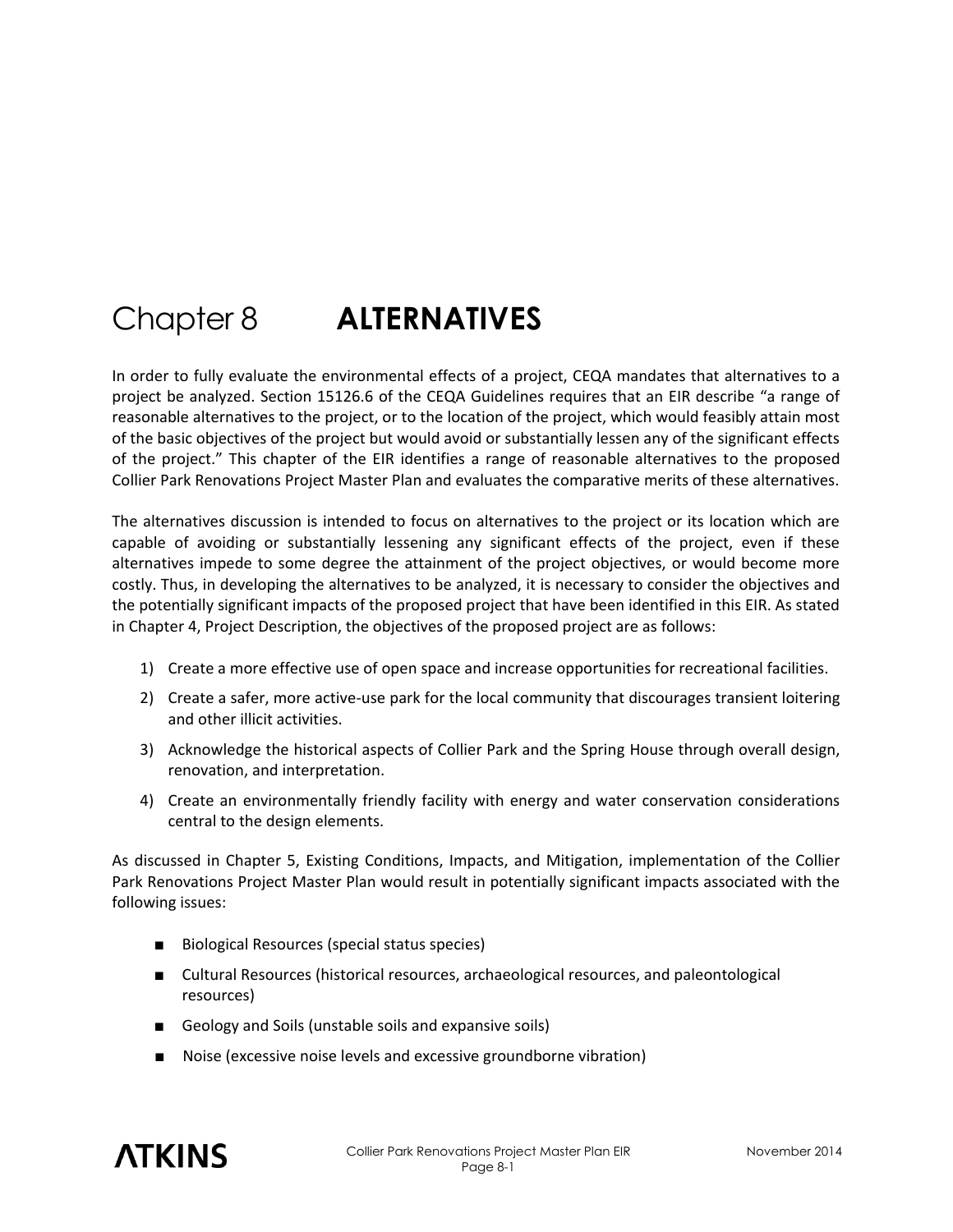# Chapter 8 **ALTERNATIVES**

In order to fully evaluate the environmental effects of a project, CEQA mandates that alternatives to a project be analyzed. Section 15126.6 of the CEQA Guidelines requires that an EIR describe "a range of reasonable alternatives to the project, or to the location of the project, which would feasibly attain most of the basic objectives of the project but would avoid or substantially lessen any of the significant effects of the project." This chapter of the EIR identifies a range of reasonable alternatives to the proposed Collier Park Renovations Project Master Plan and evaluates the comparative merits of these alternatives.

The alternatives discussion is intended to focus on alternatives to the project or its location which are capable of avoiding or substantially lessening any significant effects of the project, even if these alternatives impede to some degree the attainment of the project objectives, or would become more costly. Thus, in developing the alternatives to be analyzed, it is necessary to consider the objectives and the potentially significant impacts of the proposed project that have been identified in this EIR. As stated in Chapter 4, Project Description, the objectives of the proposed project are as follows:

- 1) Create a more effective use of open space and increase opportunities for recreational facilities.
- 2) Create a safer, more active-use park for the local community that discourages transient loitering and other illicit activities.
- 3) Acknowledge the historical aspects of Collier Park and the Spring House through overall design, renovation, and interpretation.
- 4) Create an environmentally friendly facility with energy and water conservation considerations central to the design elements.

As discussed in Chapter 5, Existing Conditions, Impacts, and Mitigation, implementation of the Collier Park Renovations Project Master Plan would result in potentially significant impacts associated with the following issues:

- Biological Resources (special status species)
- Cultural Resources (historical resources, archaeological resources, and paleontological resources)
- Geology and Soils (unstable soils and expansive soils)
- Noise (excessive noise levels and excessive groundborne vibration)

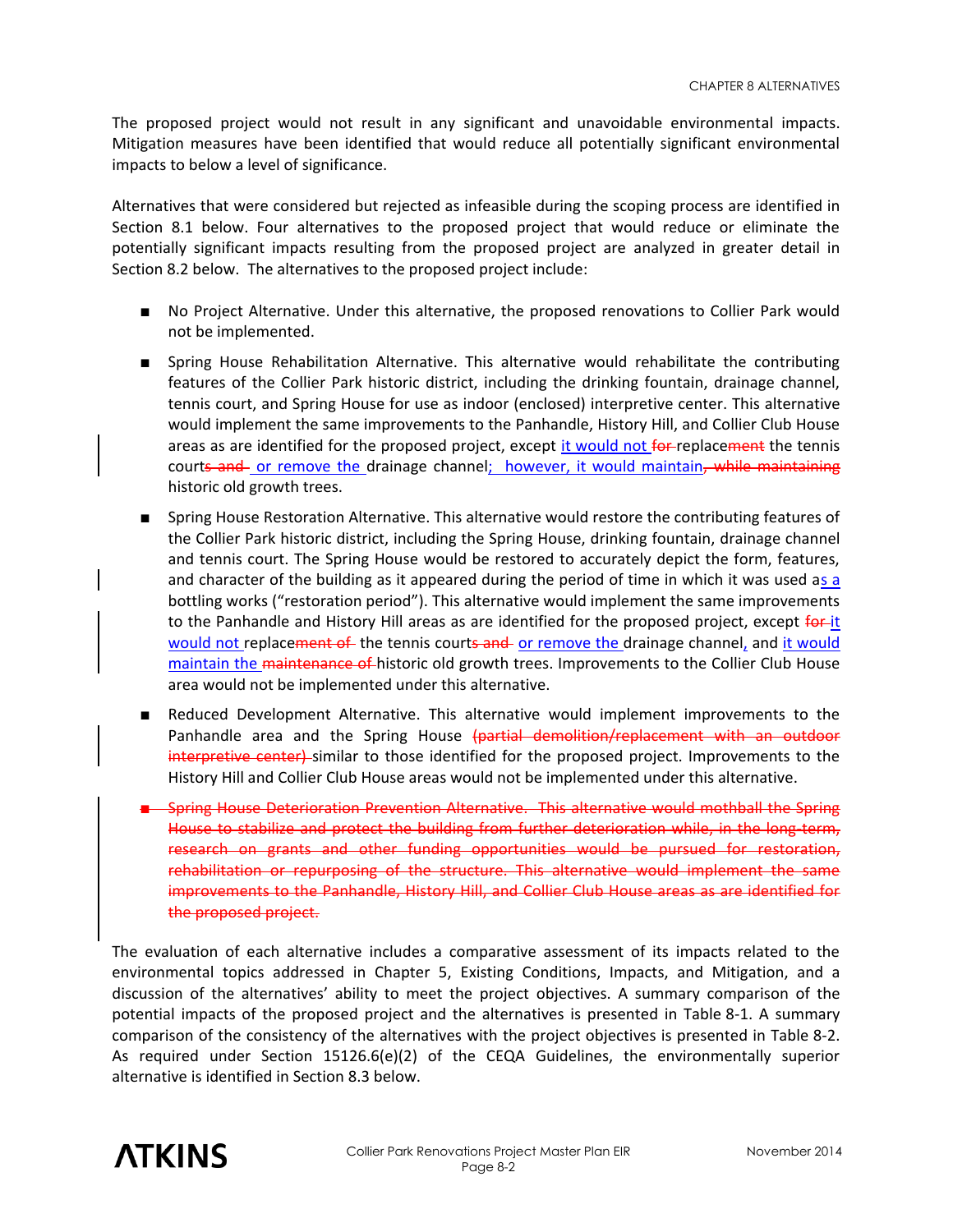The proposed project would not result in any significant and unavoidable environmental impacts. Mitigation measures have been identified that would reduce all potentially significant environmental impacts to below a level of significance.

Alternatives that were considered but rejected as infeasible during the scoping process are identified in Section 8.1 below. Four alternatives to the proposed project that would reduce or eliminate the potentially significant impacts resulting from the proposed project are analyzed in greater detail in Section 8.2 below. The alternatives to the proposed project include:

- No Project Alternative. Under this alternative, the proposed renovations to Collier Park would not be implemented.
- Spring House Rehabilitation Alternative. This alternative would rehabilitate the contributing features of the Collier Park historic district, including the drinking fountain, drainage channel, tennis court, and Spring House for use as indoor (enclosed) interpretive center. This alternative would implement the same improvements to the Panhandle, History Hill, and Collier Club House areas as are identified for the proposed project, except it would not for replacement the tennis courts and or remove the drainage channel; however, it would maintain, while maintaining historic old growth trees.
- Spring House Restoration Alternative. This alternative would restore the contributing features of the Collier Park historic district, including the Spring House, drinking fountain, drainage channel and tennis court. The Spring House would be restored to accurately depict the form, features, and character of the building as it appeared during the period of time in which it was used as a bottling works ("restoration period"). This alternative would implement the same improvements to the Panhandle and History Hill areas as are identified for the proposed project, except for it would not replacement of the tennis courts and or remove the drainage channel, and it would maintain the maintenance of historic old growth trees. Improvements to the Collier Club House area would not be implemented under this alternative.
- Reduced Development Alternative. This alternative would implement improvements to the Panhandle area and the Spring House (partial demolition/replacement with an outdoor interpretive center) similar to those identified for the proposed project. Improvements to the History Hill and Collier Club House areas would not be implemented under this alternative.
- -Spring House Deterioration Prevention Alternative. This alternative would mothball the Spring House to stabilize and protect the building from further deterioration while, in the long-term, research on grants and other funding opportunities would be pursued for restoration, rehabilitation or repurposing of the structure. This alternative would implement the same improvements to the Panhandle, History Hill, and Collier Club House areas as are identified for the proposed project.

The evaluation of each alternative includes a comparative assessment of its impacts related to the environmental topics addressed in Chapter 5, Existing Conditions, Impacts, and Mitigation, and a discussion of the alternatives' ability to meet the project objectives. A summary comparison of the potential impacts of the proposed project and the alternatives is presented in Table 8-1. A summary comparison of the consistency of the alternatives with the project objectives is presented in Table 8-2. As required under Section 15126.6(e)(2) of the CEQA Guidelines, the environmentally superior alternative is identified in Section 8.3 below.

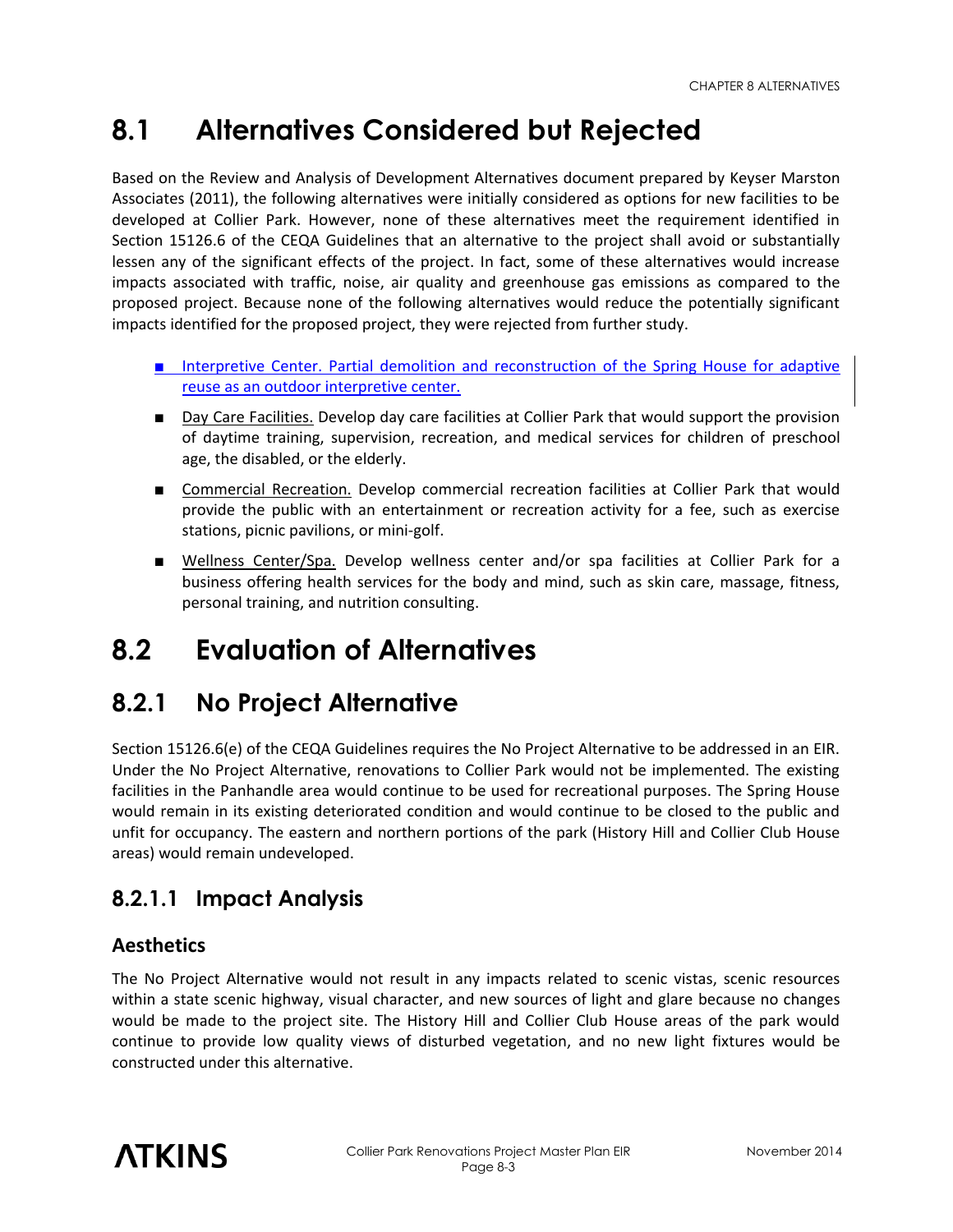## **8.1 Alternatives Considered but Rejected**

Based on the Review and Analysis of Development Alternatives document prepared by Keyser Marston Associates (2011), the following alternatives were initially considered as options for new facilities to be developed at Collier Park. However, none of these alternatives meet the requirement identified in Section 15126.6 of the CEQA Guidelines that an alternative to the project shall avoid or substantially lessen any of the significant effects of the project. In fact, some of these alternatives would increase impacts associated with traffic, noise, air quality and greenhouse gas emissions as compared to the proposed project. Because none of the following alternatives would reduce the potentially significant impacts identified for the proposed project, they were rejected from further study.

- Interpretive Center. Partial demolition and reconstruction of the Spring House for adaptive reuse as an outdoor interpretive center.
- Day Care Facilities. Develop day care facilities at Collier Park that would support the provision of daytime training, supervision, recreation, and medical services for children of preschool age, the disabled, or the elderly.
- Commercial Recreation. Develop commercial recreation facilities at Collier Park that would provide the public with an entertainment or recreation activity for a fee, such as exercise stations, picnic pavilions, or mini-golf.
- Wellness Center/Spa. Develop wellness center and/or spa facilities at Collier Park for a business offering health services for the body and mind, such as skin care, massage, fitness, personal training, and nutrition consulting.

## **8.2 Evaluation of Alternatives**

## **8.2.1 No Project Alternative**

Section 15126.6(e) of the CEQA Guidelines requires the No Project Alternative to be addressed in an EIR. Under the No Project Alternative, renovations to Collier Park would not be implemented. The existing facilities in the Panhandle area would continue to be used for recreational purposes. The Spring House would remain in its existing deteriorated condition and would continue to be closed to the public and unfit for occupancy. The eastern and northern portions of the park (History Hill and Collier Club House areas) would remain undeveloped.

### **8.2.1.1 Impact Analysis**

#### **Aesthetics**

The No Project Alternative would not result in any impacts related to scenic vistas, scenic resources within a state scenic highway, visual character, and new sources of light and glare because no changes would be made to the project site. The History Hill and Collier Club House areas of the park would continue to provide low quality views of disturbed vegetation, and no new light fixtures would be constructed under this alternative.

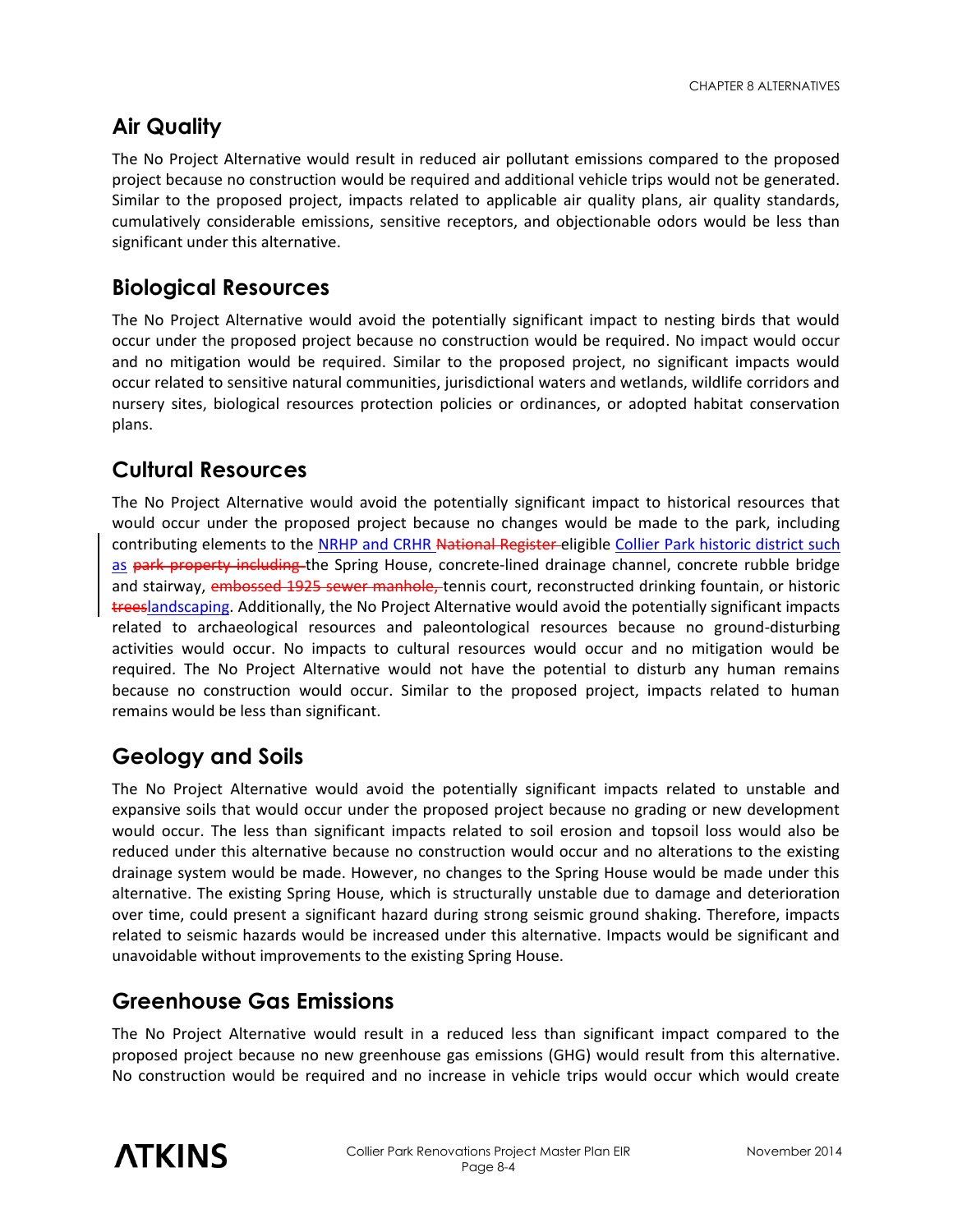### **Air Quality**

The No Project Alternative would result in reduced air pollutant emissions compared to the proposed project because no construction would be required and additional vehicle trips would not be generated. Similar to the proposed project, impacts related to applicable air quality plans, air quality standards, cumulatively considerable emissions, sensitive receptors, and objectionable odors would be less than significant under this alternative.

#### **Biological Resources**

The No Project Alternative would avoid the potentially significant impact to nesting birds that would occur under the proposed project because no construction would be required. No impact would occur and no mitigation would be required. Similar to the proposed project, no significant impacts would occur related to sensitive natural communities, jurisdictional waters and wetlands, wildlife corridors and nursery sites, biological resources protection policies or ordinances, or adopted habitat conservation plans.

#### **Cultural Resources**

The No Project Alternative would avoid the potentially significant impact to historical resources that would occur under the proposed project because no changes would be made to the park, including contributing elements to the NRHP and CRHR National Register-eligible Collier Park historic district such as park property including the Spring House, concrete-lined drainage channel, concrete rubble bridge and stairway, embossed 1925 sewer manhole, tennis court, reconstructed drinking fountain, or historic treeslandscaping. Additionally, the No Project Alternative would avoid the potentially significant impacts related to archaeological resources and paleontological resources because no ground-disturbing activities would occur. No impacts to cultural resources would occur and no mitigation would be required. The No Project Alternative would not have the potential to disturb any human remains because no construction would occur. Similar to the proposed project, impacts related to human remains would be less than significant.

#### **Geology and Soils**

The No Project Alternative would avoid the potentially significant impacts related to unstable and expansive soils that would occur under the proposed project because no grading or new development would occur. The less than significant impacts related to soil erosion and topsoil loss would also be reduced under this alternative because no construction would occur and no alterations to the existing drainage system would be made. However, no changes to the Spring House would be made under this alternative. The existing Spring House, which is structurally unstable due to damage and deterioration over time, could present a significant hazard during strong seismic ground shaking. Therefore, impacts related to seismic hazards would be increased under this alternative. Impacts would be significant and unavoidable without improvements to the existing Spring House.

#### **Greenhouse Gas Emissions**

The No Project Alternative would result in a reduced less than significant impact compared to the proposed project because no new greenhouse gas emissions (GHG) would result from this alternative. No construction would be required and no increase in vehicle trips would occur which would create

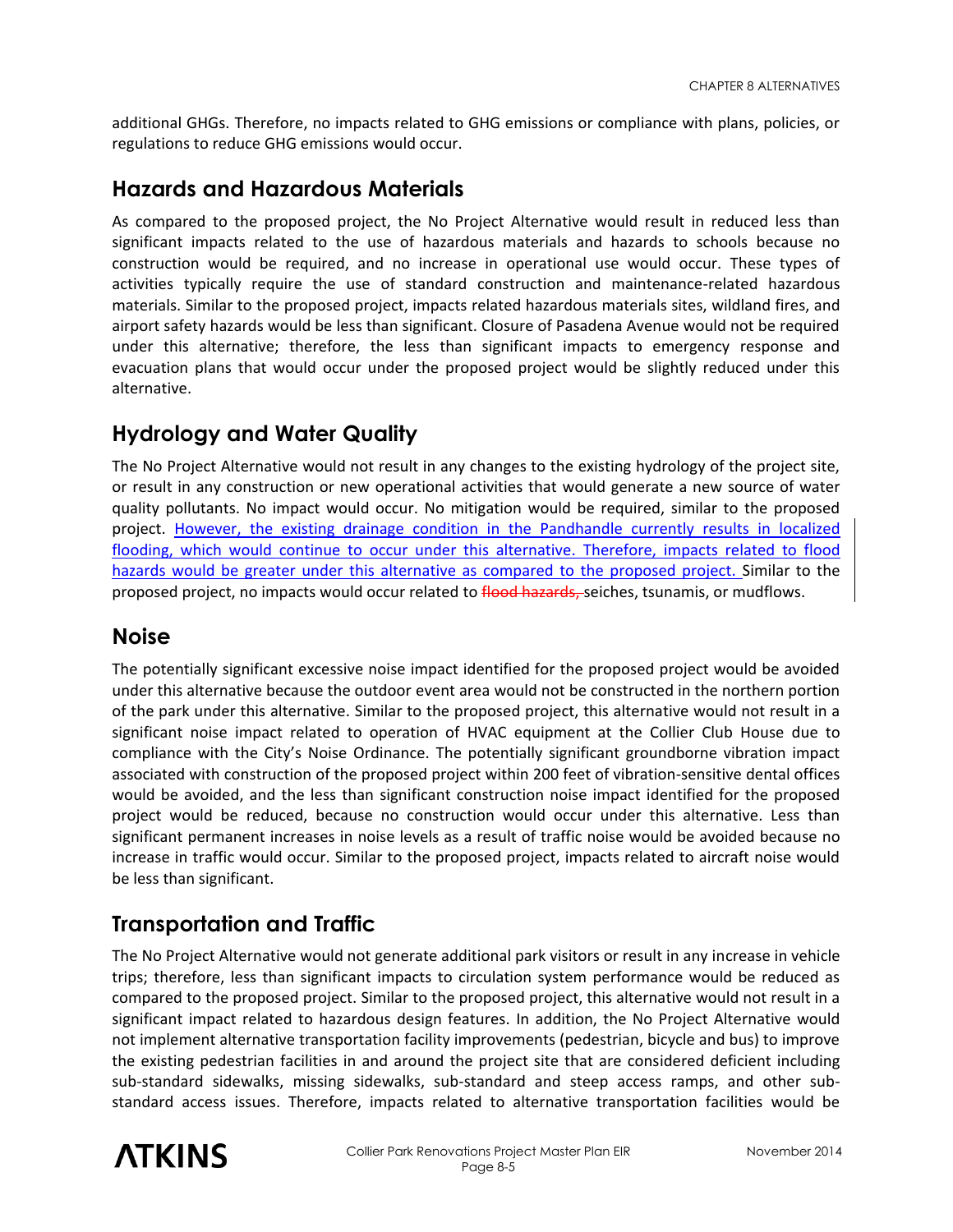additional GHGs. Therefore, no impacts related to GHG emissions or compliance with plans, policies, or regulations to reduce GHG emissions would occur.

#### **Hazards and Hazardous Materials**

As compared to the proposed project, the No Project Alternative would result in reduced less than significant impacts related to the use of hazardous materials and hazards to schools because no construction would be required, and no increase in operational use would occur. These types of activities typically require the use of standard construction and maintenance-related hazardous materials. Similar to the proposed project, impacts related hazardous materials sites, wildland fires, and airport safety hazards would be less than significant. Closure of Pasadena Avenue would not be required under this alternative; therefore, the less than significant impacts to emergency response and evacuation plans that would occur under the proposed project would be slightly reduced under this alternative.

#### **Hydrology and Water Quality**

The No Project Alternative would not result in any changes to the existing hydrology of the project site, or result in any construction or new operational activities that would generate a new source of water quality pollutants. No impact would occur. No mitigation would be required, similar to the proposed project. However, the existing drainage condition in the Pandhandle currently results in localized flooding, which would continue to occur under this alternative. Therefore, impacts related to flood hazards would be greater under this alternative as compared to the proposed project. Similar to the proposed project, no impacts would occur related to flood hazards, seiches, tsunamis, or mudflows.

#### **Noise**

The potentially significant excessive noise impact identified for the proposed project would be avoided under this alternative because the outdoor event area would not be constructed in the northern portion of the park under this alternative. Similar to the proposed project, this alternative would not result in a significant noise impact related to operation of HVAC equipment at the Collier Club House due to compliance with the City's Noise Ordinance. The potentially significant groundborne vibration impact associated with construction of the proposed project within 200 feet of vibration-sensitive dental offices would be avoided, and the less than significant construction noise impact identified for the proposed project would be reduced, because no construction would occur under this alternative. Less than significant permanent increases in noise levels as a result of traffic noise would be avoided because no increase in traffic would occur. Similar to the proposed project, impacts related to aircraft noise would be less than significant.

#### **Transportation and Traffic**

The No Project Alternative would not generate additional park visitors or result in any increase in vehicle trips; therefore, less than significant impacts to circulation system performance would be reduced as compared to the proposed project. Similar to the proposed project, this alternative would not result in a significant impact related to hazardous design features. In addition, the No Project Alternative would not implement alternative transportation facility improvements (pedestrian, bicycle and bus) to improve the existing pedestrian facilities in and around the project site that are considered deficient including sub-standard sidewalks, missing sidewalks, sub-standard and steep access ramps, and other substandard access issues. Therefore, impacts related to alternative transportation facilities would be

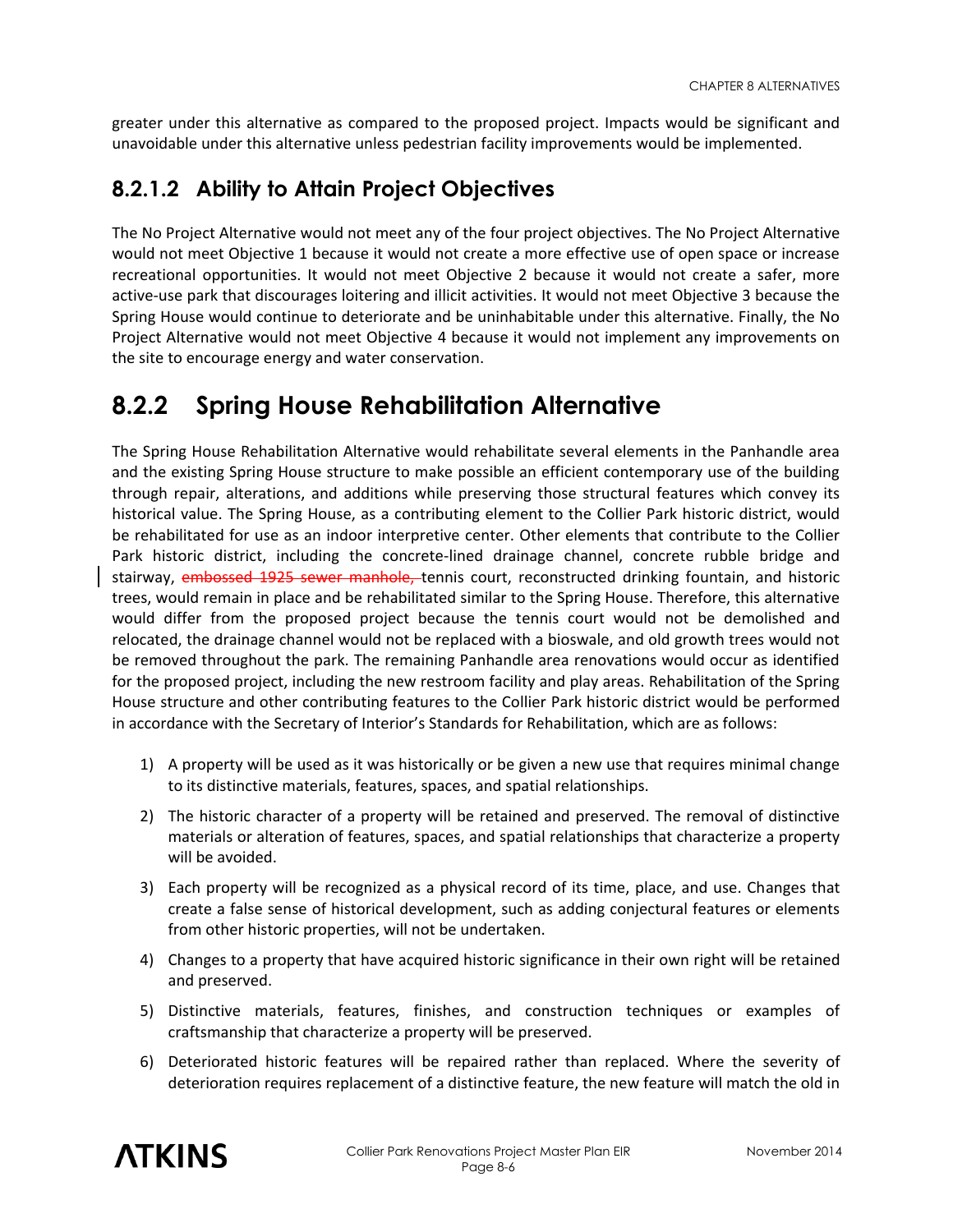greater under this alternative as compared to the proposed project. Impacts would be significant and unavoidable under this alternative unless pedestrian facility improvements would be implemented.

#### **8.2.1.2 Ability to Attain Project Objectives**

The No Project Alternative would not meet any of the four project objectives. The No Project Alternative would not meet Objective 1 because it would not create a more effective use of open space or increase recreational opportunities. It would not meet Objective 2 because it would not create a safer, more active-use park that discourages loitering and illicit activities. It would not meet Objective 3 because the Spring House would continue to deteriorate and be uninhabitable under this alternative. Finally, the No Project Alternative would not meet Objective 4 because it would not implement any improvements on the site to encourage energy and water conservation.

## **8.2.2 Spring House Rehabilitation Alternative**

The Spring House Rehabilitation Alternative would rehabilitate several elements in the Panhandle area and the existing Spring House structure to make possible an efficient contemporary use of the building through repair, alterations, and additions while preserving those structural features which convey its historical value. The Spring House, as a contributing element to the Collier Park historic district, would be rehabilitated for use as an indoor interpretive center. Other elements that contribute to the Collier Park historic district, including the concrete-lined drainage channel, concrete rubble bridge and stairway, embossed 1925 sewer manhole, tennis court, reconstructed drinking fountain, and historic trees, would remain in place and be rehabilitated similar to the Spring House. Therefore, this alternative would differ from the proposed project because the tennis court would not be demolished and relocated, the drainage channel would not be replaced with a bioswale, and old growth trees would not be removed throughout the park. The remaining Panhandle area renovations would occur as identified for the proposed project, including the new restroom facility and play areas. Rehabilitation of the Spring House structure and other contributing features to the Collier Park historic district would be performed in accordance with the Secretary of Interior's Standards for Rehabilitation, which are as follows:

- 1) A property will be used as it was historically or be given a new use that requires minimal change to its distinctive materials, features, spaces, and spatial relationships.
- 2) The historic character of a property will be retained and preserved. The removal of distinctive materials or alteration of features, spaces, and spatial relationships that characterize a property will be avoided.
- 3) Each property will be recognized as a physical record of its time, place, and use. Changes that create a false sense of historical development, such as adding conjectural features or elements from other historic properties, will not be undertaken.
- 4) Changes to a property that have acquired historic significance in their own right will be retained and preserved.
- 5) Distinctive materials, features, finishes, and construction techniques or examples of craftsmanship that characterize a property will be preserved.
- 6) Deteriorated historic features will be repaired rather than replaced. Where the severity of deterioration requires replacement of a distinctive feature, the new feature will match the old in

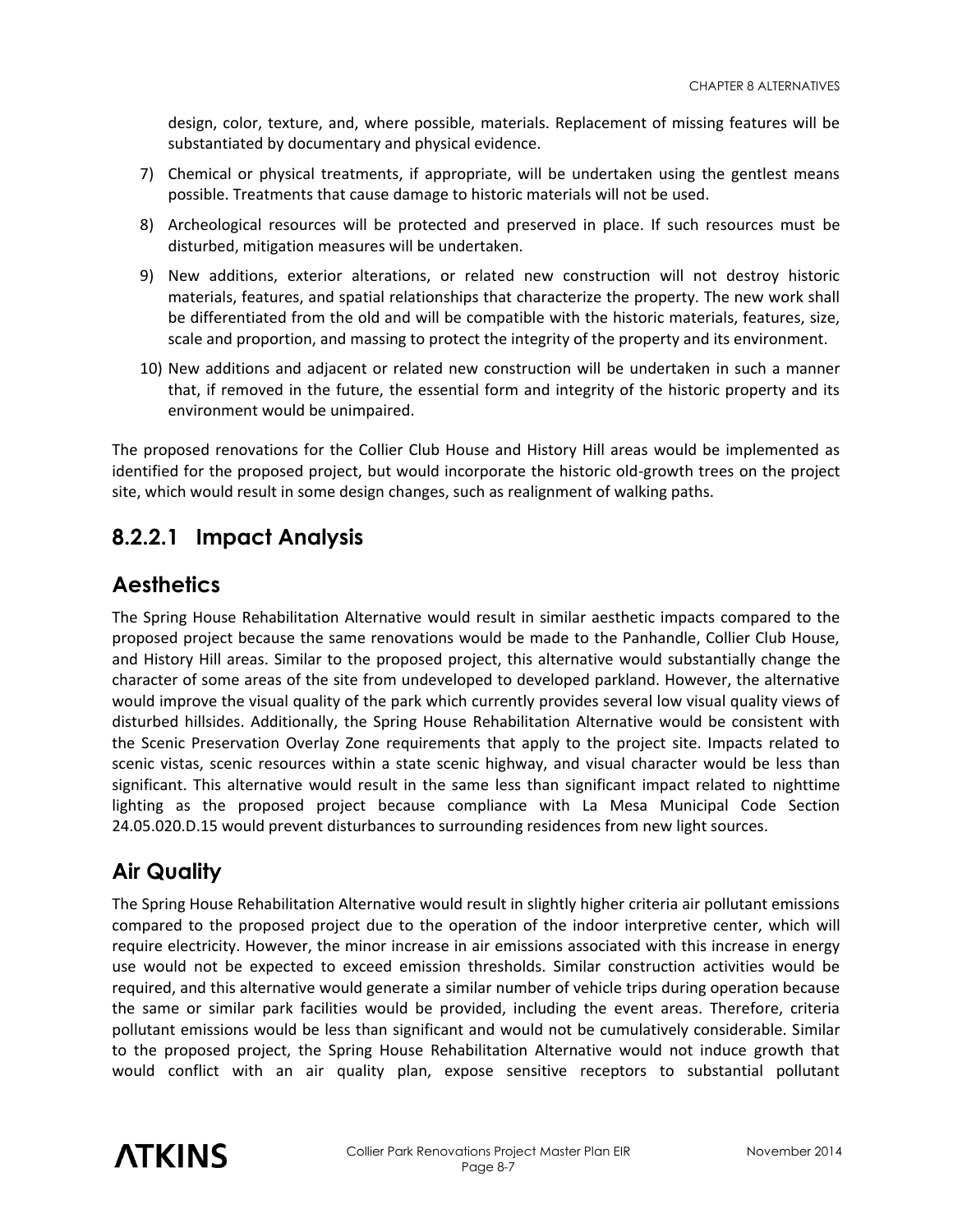design, color, texture, and, where possible, materials. Replacement of missing features will be substantiated by documentary and physical evidence.

- 7) Chemical or physical treatments, if appropriate, will be undertaken using the gentlest means possible. Treatments that cause damage to historic materials will not be used.
- 8) Archeological resources will be protected and preserved in place. If such resources must be disturbed, mitigation measures will be undertaken.
- 9) New additions, exterior alterations, or related new construction will not destroy historic materials, features, and spatial relationships that characterize the property. The new work shall be differentiated from the old and will be compatible with the historic materials, features, size, scale and proportion, and massing to protect the integrity of the property and its environment.
- 10) New additions and adjacent or related new construction will be undertaken in such a manner that, if removed in the future, the essential form and integrity of the historic property and its environment would be unimpaired.

The proposed renovations for the Collier Club House and History Hill areas would be implemented as identified for the proposed project, but would incorporate the historic old-growth trees on the project site, which would result in some design changes, such as realignment of walking paths.

#### **8.2.2.1 Impact Analysis**

#### **Aesthetics**

The Spring House Rehabilitation Alternative would result in similar aesthetic impacts compared to the proposed project because the same renovations would be made to the Panhandle, Collier Club House, and History Hill areas. Similar to the proposed project, this alternative would substantially change the character of some areas of the site from undeveloped to developed parkland. However, the alternative would improve the visual quality of the park which currently provides several low visual quality views of disturbed hillsides. Additionally, the Spring House Rehabilitation Alternative would be consistent with the Scenic Preservation Overlay Zone requirements that apply to the project site. Impacts related to scenic vistas, scenic resources within a state scenic highway, and visual character would be less than significant. This alternative would result in the same less than significant impact related to nighttime lighting as the proposed project because compliance with La Mesa Municipal Code Section 24.05.020.D.15 would prevent disturbances to surrounding residences from new light sources.

#### **Air Quality**

The Spring House Rehabilitation Alternative would result in slightly higher criteria air pollutant emissions compared to the proposed project due to the operation of the indoor interpretive center, which will require electricity. However, the minor increase in air emissions associated with this increase in energy use would not be expected to exceed emission thresholds. Similar construction activities would be required, and this alternative would generate a similar number of vehicle trips during operation because the same or similar park facilities would be provided, including the event areas. Therefore, criteria pollutant emissions would be less than significant and would not be cumulatively considerable. Similar to the proposed project, the Spring House Rehabilitation Alternative would not induce growth that would conflict with an air quality plan, expose sensitive receptors to substantial pollutant

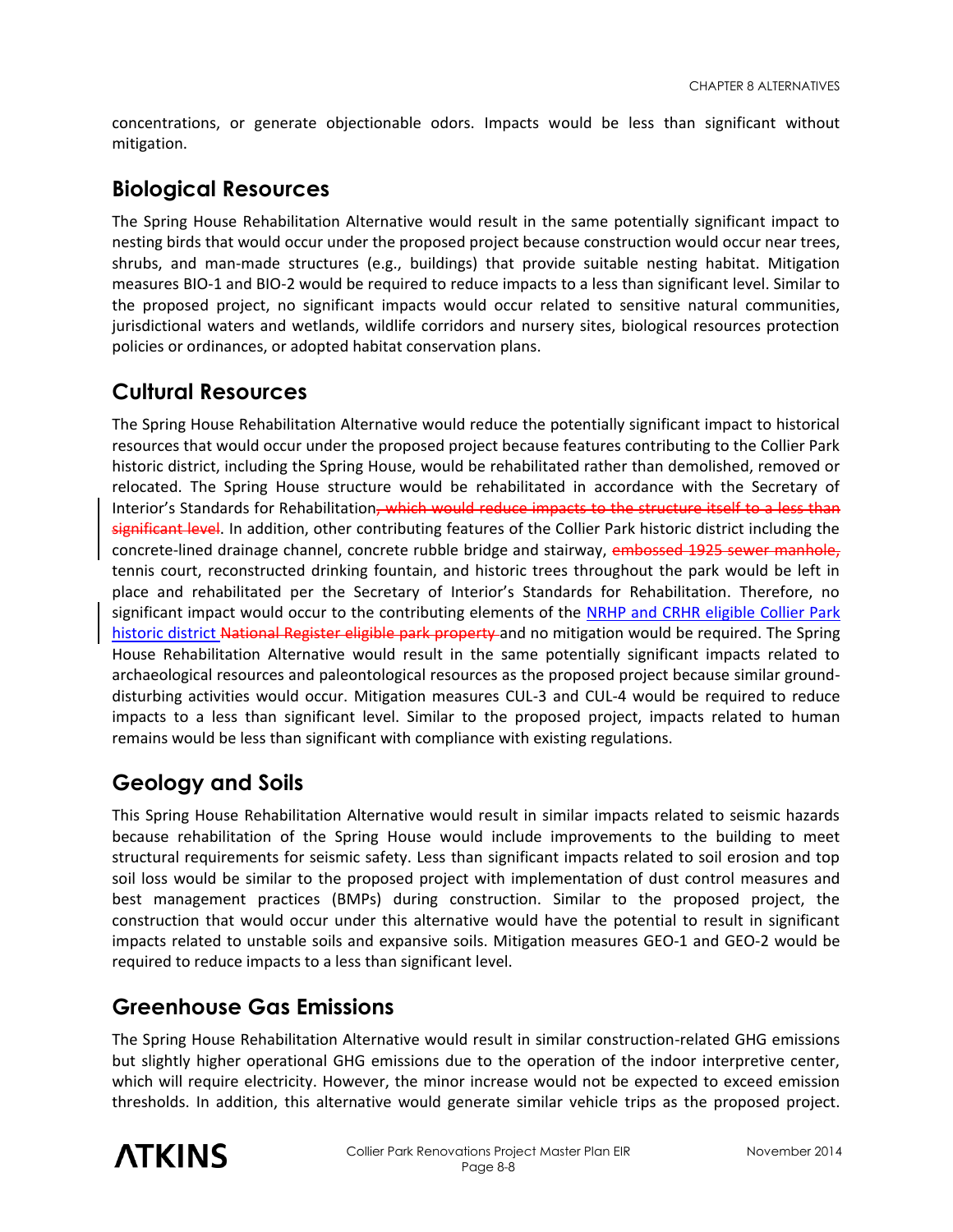concentrations, or generate objectionable odors. Impacts would be less than significant without mitigation.

#### **Biological Resources**

The Spring House Rehabilitation Alternative would result in the same potentially significant impact to nesting birds that would occur under the proposed project because construction would occur near trees, shrubs, and man-made structures (e.g., buildings) that provide suitable nesting habitat. Mitigation measures BIO-1 and BIO-2 would be required to reduce impacts to a less than significant level. Similar to the proposed project, no significant impacts would occur related to sensitive natural communities, jurisdictional waters and wetlands, wildlife corridors and nursery sites, biological resources protection policies or ordinances, or adopted habitat conservation plans.

### **Cultural Resources**

The Spring House Rehabilitation Alternative would reduce the potentially significant impact to historical resources that would occur under the proposed project because features contributing to the Collier Park historic district, including the Spring House, would be rehabilitated rather than demolished, removed or relocated. The Spring House structure would be rehabilitated in accordance with the Secretary of Interior's Standards for Rehabilitation<del>, which would reduce impacts to the structure itself to a less than</del> significant level. In addition, other contributing features of the Collier Park historic district including the concrete-lined drainage channel, concrete rubble bridge and stairway, embossed 1925 sewer manhole, tennis court, reconstructed drinking fountain, and historic trees throughout the park would be left in place and rehabilitated per the Secretary of Interior's Standards for Rehabilitation. Therefore, no significant impact would occur to the contributing elements of the NRHP and CRHR eligible Collier Park historic district National Register eligible park property and no mitigation would be required. The Spring House Rehabilitation Alternative would result in the same potentially significant impacts related to archaeological resources and paleontological resources as the proposed project because similar grounddisturbing activities would occur. Mitigation measures CUL-3 and CUL-4 would be required to reduce impacts to a less than significant level. Similar to the proposed project, impacts related to human remains would be less than significant with compliance with existing regulations.

#### **Geology and Soils**

This Spring House Rehabilitation Alternative would result in similar impacts related to seismic hazards because rehabilitation of the Spring House would include improvements to the building to meet structural requirements for seismic safety. Less than significant impacts related to soil erosion and top soil loss would be similar to the proposed project with implementation of dust control measures and best management practices (BMPs) during construction. Similar to the proposed project, the construction that would occur under this alternative would have the potential to result in significant impacts related to unstable soils and expansive soils. Mitigation measures GEO-1 and GEO-2 would be required to reduce impacts to a less than significant level.

#### **Greenhouse Gas Emissions**

The Spring House Rehabilitation Alternative would result in similar construction-related GHG emissions but slightly higher operational GHG emissions due to the operation of the indoor interpretive center, which will require electricity. However, the minor increase would not be expected to exceed emission thresholds. In addition, this alternative would generate similar vehicle trips as the proposed project.

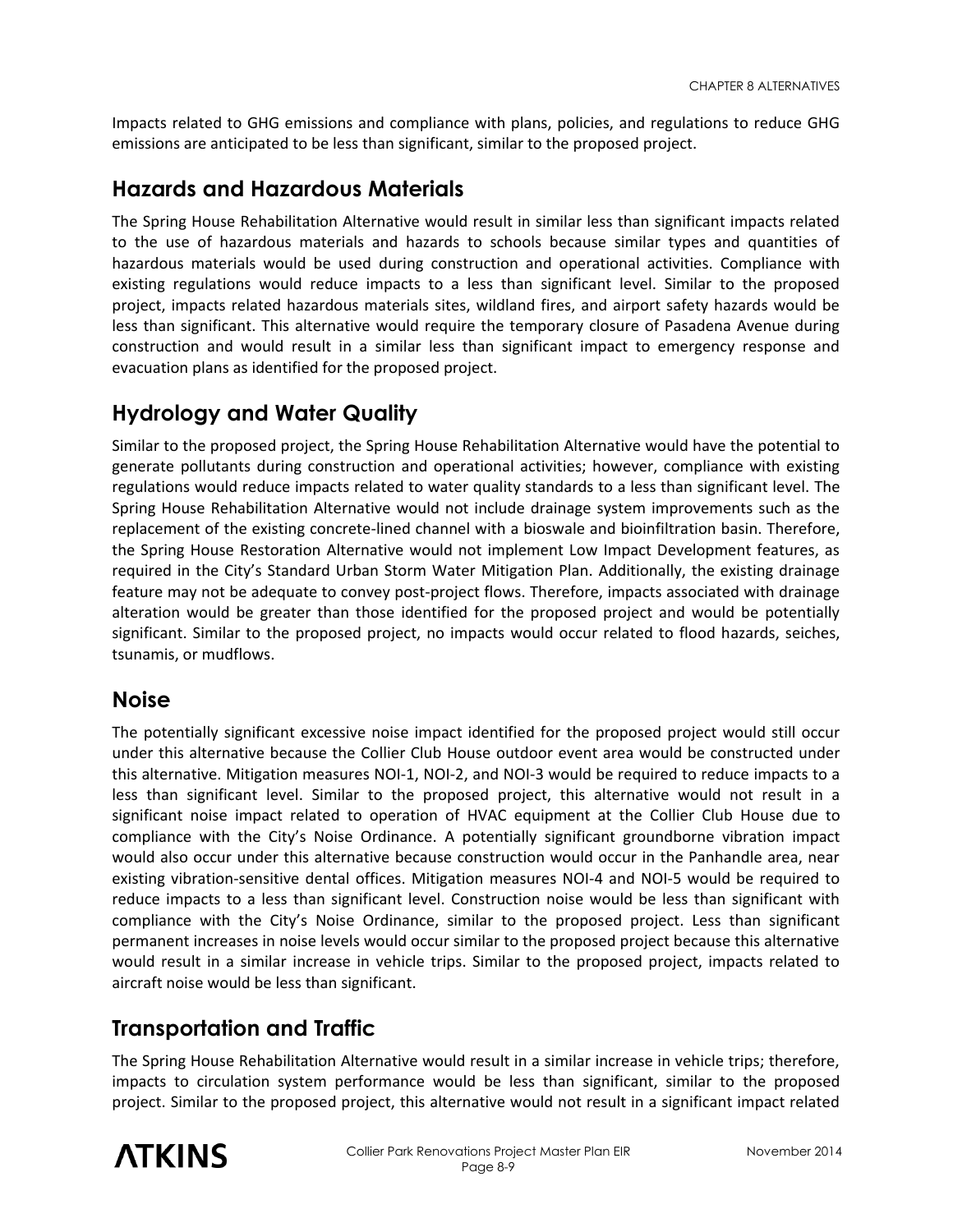Impacts related to GHG emissions and compliance with plans, policies, and regulations to reduce GHG emissions are anticipated to be less than significant, similar to the proposed project.

#### **Hazards and Hazardous Materials**

The Spring House Rehabilitation Alternative would result in similar less than significant impacts related to the use of hazardous materials and hazards to schools because similar types and quantities of hazardous materials would be used during construction and operational activities. Compliance with existing regulations would reduce impacts to a less than significant level. Similar to the proposed project, impacts related hazardous materials sites, wildland fires, and airport safety hazards would be less than significant. This alternative would require the temporary closure of Pasadena Avenue during construction and would result in a similar less than significant impact to emergency response and evacuation plans as identified for the proposed project.

#### **Hydrology and Water Quality**

Similar to the proposed project, the Spring House Rehabilitation Alternative would have the potential to generate pollutants during construction and operational activities; however, compliance with existing regulations would reduce impacts related to water quality standards to a less than significant level. The Spring House Rehabilitation Alternative would not include drainage system improvements such as the replacement of the existing concrete-lined channel with a bioswale and bioinfiltration basin. Therefore, the Spring House Restoration Alternative would not implement Low Impact Development features, as required in the City's Standard Urban Storm Water Mitigation Plan. Additionally, the existing drainage feature may not be adequate to convey post-project flows. Therefore, impacts associated with drainage alteration would be greater than those identified for the proposed project and would be potentially significant. Similar to the proposed project, no impacts would occur related to flood hazards, seiches, tsunamis, or mudflows.

#### **Noise**

The potentially significant excessive noise impact identified for the proposed project would still occur under this alternative because the Collier Club House outdoor event area would be constructed under this alternative. Mitigation measures NOI-1, NOI-2, and NOI-3 would be required to reduce impacts to a less than significant level. Similar to the proposed project, this alternative would not result in a significant noise impact related to operation of HVAC equipment at the Collier Club House due to compliance with the City's Noise Ordinance. A potentially significant groundborne vibration impact would also occur under this alternative because construction would occur in the Panhandle area, near existing vibration-sensitive dental offices. Mitigation measures NOI-4 and NOI-5 would be required to reduce impacts to a less than significant level. Construction noise would be less than significant with compliance with the City's Noise Ordinance, similar to the proposed project. Less than significant permanent increases in noise levels would occur similar to the proposed project because this alternative would result in a similar increase in vehicle trips. Similar to the proposed project, impacts related to aircraft noise would be less than significant.

#### **Transportation and Traffic**

The Spring House Rehabilitation Alternative would result in a similar increase in vehicle trips; therefore, impacts to circulation system performance would be less than significant, similar to the proposed project. Similar to the proposed project, this alternative would not result in a significant impact related

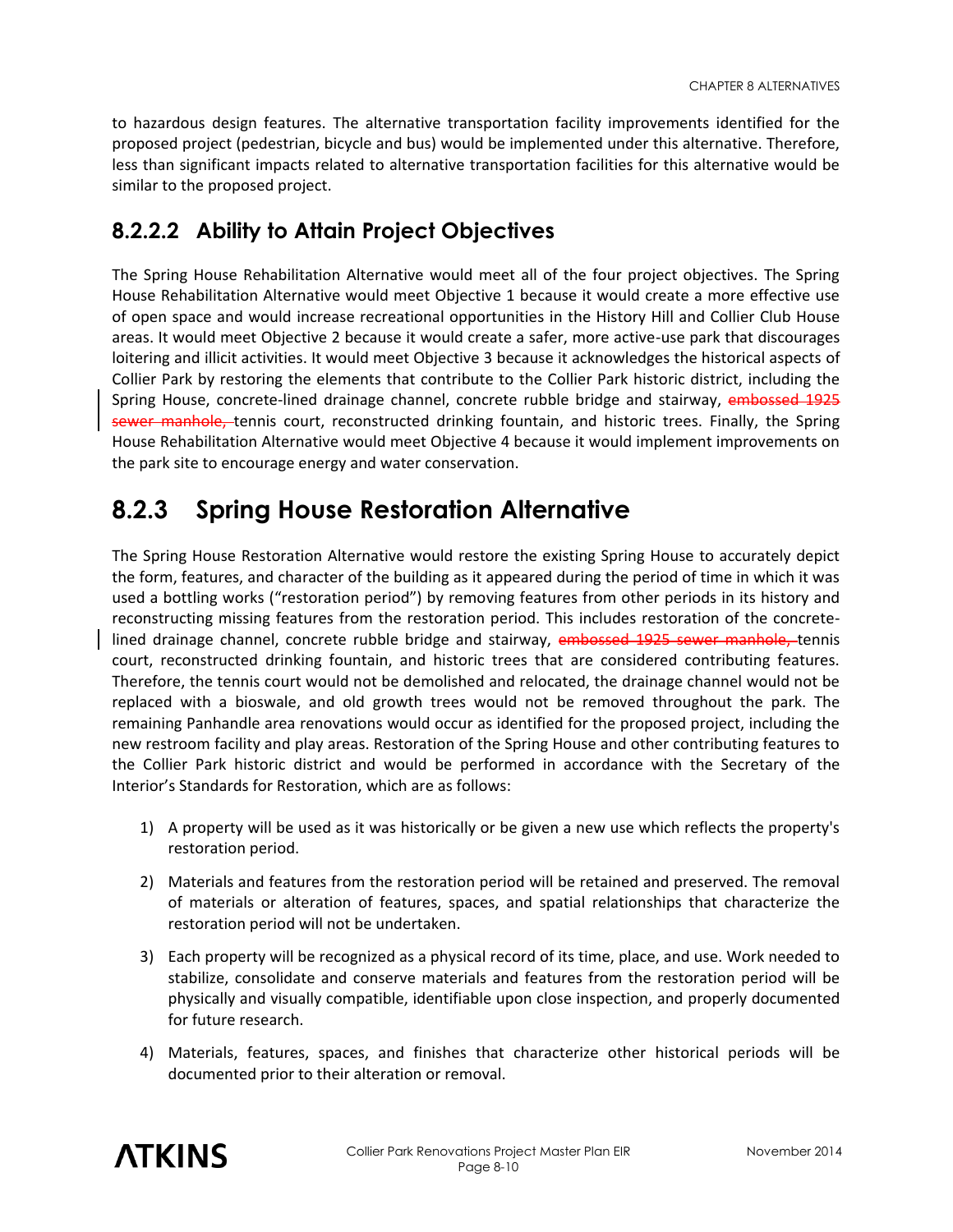to hazardous design features. The alternative transportation facility improvements identified for the proposed project (pedestrian, bicycle and bus) would be implemented under this alternative. Therefore, less than significant impacts related to alternative transportation facilities for this alternative would be similar to the proposed project.

#### **8.2.2.2 Ability to Attain Project Objectives**

The Spring House Rehabilitation Alternative would meet all of the four project objectives. The Spring House Rehabilitation Alternative would meet Objective 1 because it would create a more effective use of open space and would increase recreational opportunities in the History Hill and Collier Club House areas. It would meet Objective 2 because it would create a safer, more active-use park that discourages loitering and illicit activities. It would meet Objective 3 because it acknowledges the historical aspects of Collier Park by restoring the elements that contribute to the Collier Park historic district, including the Spring House, concrete-lined drainage channel, concrete rubble bridge and stairway, embossed 1925 sewer manhole, tennis court, reconstructed drinking fountain, and historic trees. Finally, the Spring House Rehabilitation Alternative would meet Objective 4 because it would implement improvements on the park site to encourage energy and water conservation.

## **8.2.3 Spring House Restoration Alternative**

The Spring House Restoration Alternative would restore the existing Spring House to accurately depict the form, features, and character of the building as it appeared during the period of time in which it was used a bottling works ("restoration period") by removing features from other periods in its history and reconstructing missing features from the restoration period. This includes restoration of the concretelined drainage channel, concrete rubble bridge and stairway, embossed 1925 sewer manhole, tennis court, reconstructed drinking fountain, and historic trees that are considered contributing features. Therefore, the tennis court would not be demolished and relocated, the drainage channel would not be replaced with a bioswale, and old growth trees would not be removed throughout the park. The remaining Panhandle area renovations would occur as identified for the proposed project, including the new restroom facility and play areas. Restoration of the Spring House and other contributing features to the Collier Park historic district and would be performed in accordance with the Secretary of the Interior's Standards for Restoration, which are as follows:

- 1) A property will be used as it was historically or be given a new use which reflects the property's restoration period.
- 2) Materials and features from the restoration period will be retained and preserved. The removal of materials or alteration of features, spaces, and spatial relationships that characterize the restoration period will not be undertaken.
- 3) Each property will be recognized as a physical record of its time, place, and use. Work needed to stabilize, consolidate and conserve materials and features from the restoration period will be physically and visually compatible, identifiable upon close inspection, and properly documented for future research.
- 4) Materials, features, spaces, and finishes that characterize other historical periods will be documented prior to their alteration or removal.

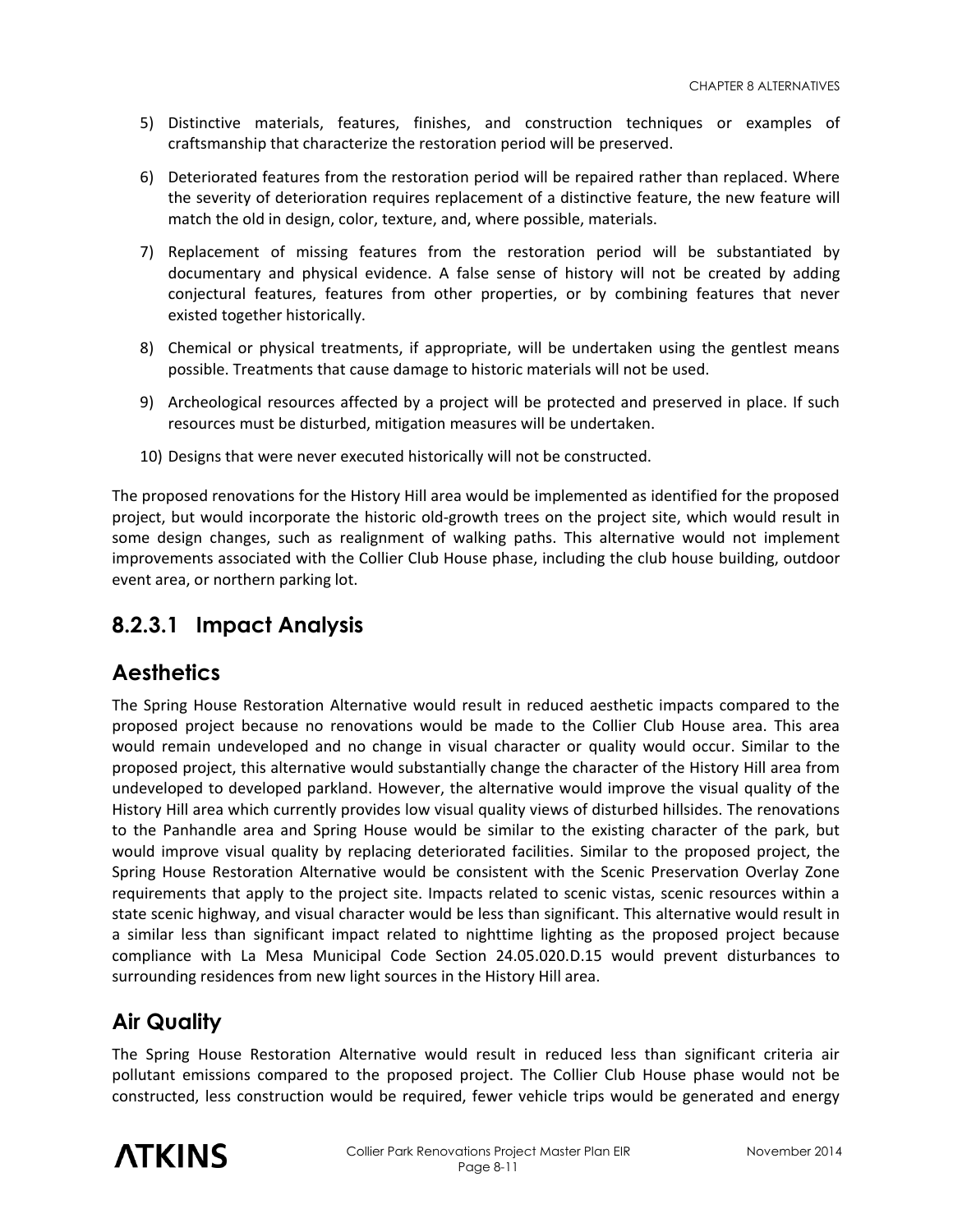- 5) Distinctive materials, features, finishes, and construction techniques or examples of craftsmanship that characterize the restoration period will be preserved.
- 6) Deteriorated features from the restoration period will be repaired rather than replaced. Where the severity of deterioration requires replacement of a distinctive feature, the new feature will match the old in design, color, texture, and, where possible, materials.
- 7) Replacement of missing features from the restoration period will be substantiated by documentary and physical evidence. A false sense of history will not be created by adding conjectural features, features from other properties, or by combining features that never existed together historically.
- 8) Chemical or physical treatments, if appropriate, will be undertaken using the gentlest means possible. Treatments that cause damage to historic materials will not be used.
- 9) Archeological resources affected by a project will be protected and preserved in place. If such resources must be disturbed, mitigation measures will be undertaken.
- 10) Designs that were never executed historically will not be constructed.

The proposed renovations for the History Hill area would be implemented as identified for the proposed project, but would incorporate the historic old-growth trees on the project site, which would result in some design changes, such as realignment of walking paths. This alternative would not implement improvements associated with the Collier Club House phase, including the club house building, outdoor event area, or northern parking lot.

#### **8.2.3.1 Impact Analysis**

#### **Aesthetics**

The Spring House Restoration Alternative would result in reduced aesthetic impacts compared to the proposed project because no renovations would be made to the Collier Club House area. This area would remain undeveloped and no change in visual character or quality would occur. Similar to the proposed project, this alternative would substantially change the character of the History Hill area from undeveloped to developed parkland. However, the alternative would improve the visual quality of the History Hill area which currently provides low visual quality views of disturbed hillsides. The renovations to the Panhandle area and Spring House would be similar to the existing character of the park, but would improve visual quality by replacing deteriorated facilities. Similar to the proposed project, the Spring House Restoration Alternative would be consistent with the Scenic Preservation Overlay Zone requirements that apply to the project site. Impacts related to scenic vistas, scenic resources within a state scenic highway, and visual character would be less than significant. This alternative would result in a similar less than significant impact related to nighttime lighting as the proposed project because compliance with La Mesa Municipal Code Section 24.05.020.D.15 would prevent disturbances to surrounding residences from new light sources in the History Hill area.

#### **Air Quality**

The Spring House Restoration Alternative would result in reduced less than significant criteria air pollutant emissions compared to the proposed project. The Collier Club House phase would not be constructed, less construction would be required, fewer vehicle trips would be generated and energy

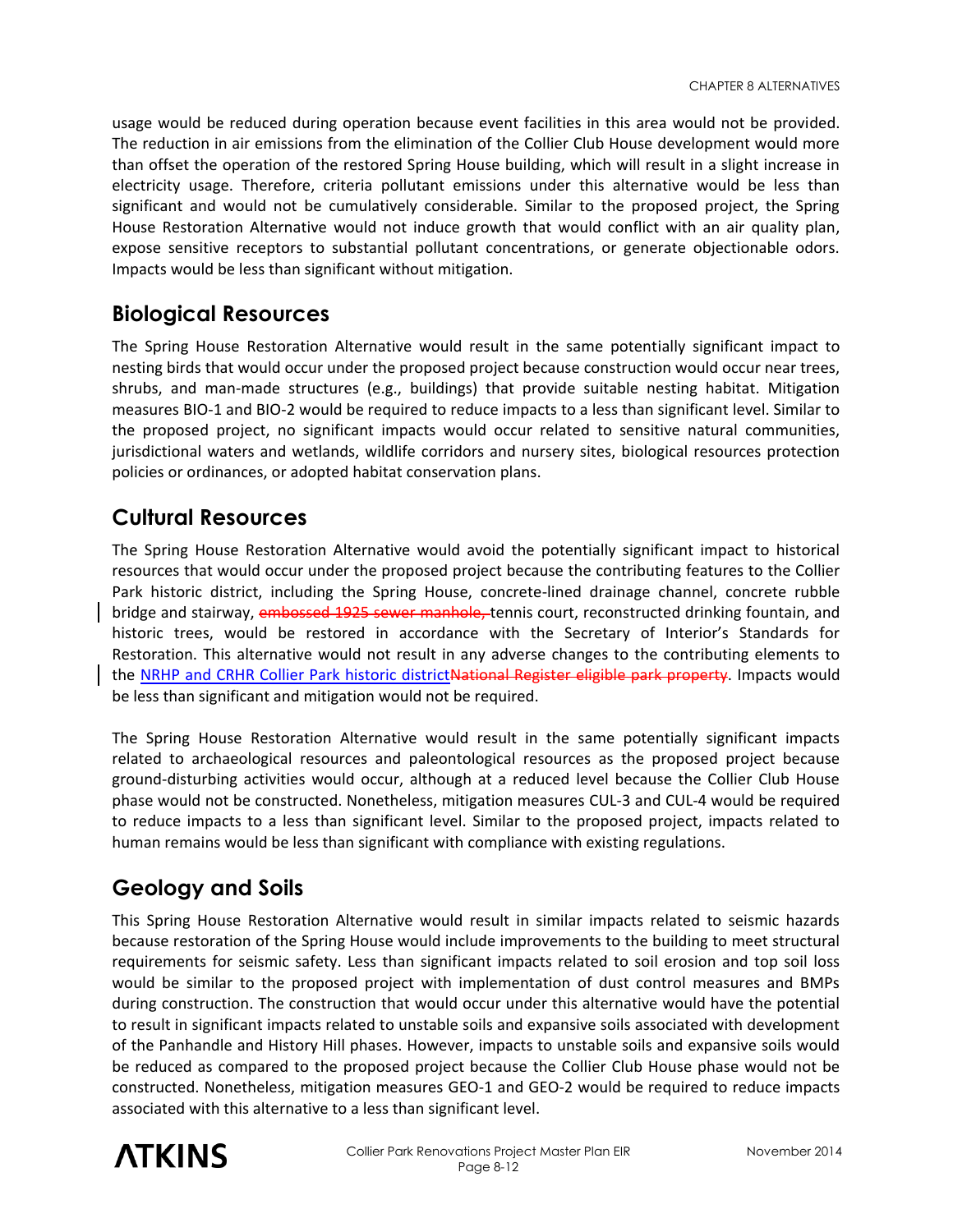usage would be reduced during operation because event facilities in this area would not be provided. The reduction in air emissions from the elimination of the Collier Club House development would more than offset the operation of the restored Spring House building, which will result in a slight increase in electricity usage. Therefore, criteria pollutant emissions under this alternative would be less than significant and would not be cumulatively considerable. Similar to the proposed project, the Spring House Restoration Alternative would not induce growth that would conflict with an air quality plan, expose sensitive receptors to substantial pollutant concentrations, or generate objectionable odors. Impacts would be less than significant without mitigation.

#### **Biological Resources**

The Spring House Restoration Alternative would result in the same potentially significant impact to nesting birds that would occur under the proposed project because construction would occur near trees, shrubs, and man-made structures (e.g., buildings) that provide suitable nesting habitat. Mitigation measures BIO-1 and BIO-2 would be required to reduce impacts to a less than significant level. Similar to the proposed project, no significant impacts would occur related to sensitive natural communities, jurisdictional waters and wetlands, wildlife corridors and nursery sites, biological resources protection policies or ordinances, or adopted habitat conservation plans.

#### **Cultural Resources**

The Spring House Restoration Alternative would avoid the potentially significant impact to historical resources that would occur under the proposed project because the contributing features to the Collier Park historic district, including the Spring House, concrete-lined drainage channel, concrete rubble bridge and stairway, embossed 1925 sewer manhole, tennis court, reconstructed drinking fountain, and historic trees, would be restored in accordance with the Secretary of Interior's Standards for Restoration. This alternative would not result in any adverse changes to the contributing elements to the NRHP and CRHR Collier Park historic districtNational Register eligible park property. Impacts would be less than significant and mitigation would not be required.

The Spring House Restoration Alternative would result in the same potentially significant impacts related to archaeological resources and paleontological resources as the proposed project because ground-disturbing activities would occur, although at a reduced level because the Collier Club House phase would not be constructed. Nonetheless, mitigation measures CUL-3 and CUL-4 would be required to reduce impacts to a less than significant level. Similar to the proposed project, impacts related to human remains would be less than significant with compliance with existing regulations.

#### **Geology and Soils**

This Spring House Restoration Alternative would result in similar impacts related to seismic hazards because restoration of the Spring House would include improvements to the building to meet structural requirements for seismic safety. Less than significant impacts related to soil erosion and top soil loss would be similar to the proposed project with implementation of dust control measures and BMPs during construction. The construction that would occur under this alternative would have the potential to result in significant impacts related to unstable soils and expansive soils associated with development of the Panhandle and History Hill phases. However, impacts to unstable soils and expansive soils would be reduced as compared to the proposed project because the Collier Club House phase would not be constructed. Nonetheless, mitigation measures GEO-1 and GEO-2 would be required to reduce impacts associated with this alternative to a less than significant level.

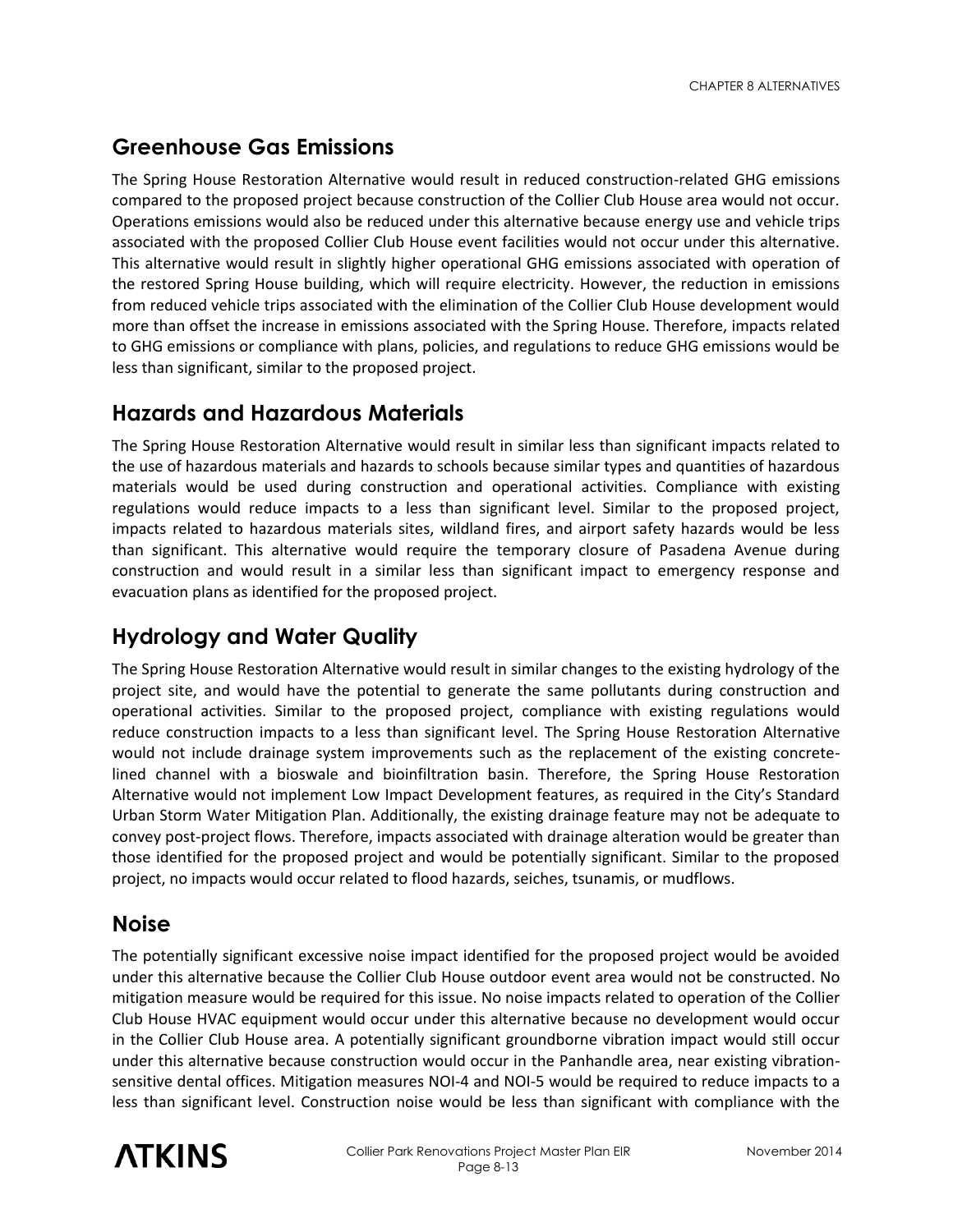### **Greenhouse Gas Emissions**

The Spring House Restoration Alternative would result in reduced construction-related GHG emissions compared to the proposed project because construction of the Collier Club House area would not occur. Operations emissions would also be reduced under this alternative because energy use and vehicle trips associated with the proposed Collier Club House event facilities would not occur under this alternative. This alternative would result in slightly higher operational GHG emissions associated with operation of the restored Spring House building, which will require electricity. However, the reduction in emissions from reduced vehicle trips associated with the elimination of the Collier Club House development would more than offset the increase in emissions associated with the Spring House. Therefore, impacts related to GHG emissions or compliance with plans, policies, and regulations to reduce GHG emissions would be less than significant, similar to the proposed project.

#### **Hazards and Hazardous Materials**

The Spring House Restoration Alternative would result in similar less than significant impacts related to the use of hazardous materials and hazards to schools because similar types and quantities of hazardous materials would be used during construction and operational activities. Compliance with existing regulations would reduce impacts to a less than significant level. Similar to the proposed project, impacts related to hazardous materials sites, wildland fires, and airport safety hazards would be less than significant. This alternative would require the temporary closure of Pasadena Avenue during construction and would result in a similar less than significant impact to emergency response and evacuation plans as identified for the proposed project.

#### **Hydrology and Water Quality**

The Spring House Restoration Alternative would result in similar changes to the existing hydrology of the project site, and would have the potential to generate the same pollutants during construction and operational activities. Similar to the proposed project, compliance with existing regulations would reduce construction impacts to a less than significant level. The Spring House Restoration Alternative would not include drainage system improvements such as the replacement of the existing concretelined channel with a bioswale and bioinfiltration basin. Therefore, the Spring House Restoration Alternative would not implement Low Impact Development features, as required in the City's Standard Urban Storm Water Mitigation Plan. Additionally, the existing drainage feature may not be adequate to convey post-project flows. Therefore, impacts associated with drainage alteration would be greater than those identified for the proposed project and would be potentially significant. Similar to the proposed project, no impacts would occur related to flood hazards, seiches, tsunamis, or mudflows.

#### **Noise**

The potentially significant excessive noise impact identified for the proposed project would be avoided under this alternative because the Collier Club House outdoor event area would not be constructed. No mitigation measure would be required for this issue. No noise impacts related to operation of the Collier Club House HVAC equipment would occur under this alternative because no development would occur in the Collier Club House area. A potentially significant groundborne vibration impact would still occur under this alternative because construction would occur in the Panhandle area, near existing vibrationsensitive dental offices. Mitigation measures NOI-4 and NOI-5 would be required to reduce impacts to a less than significant level. Construction noise would be less than significant with compliance with the

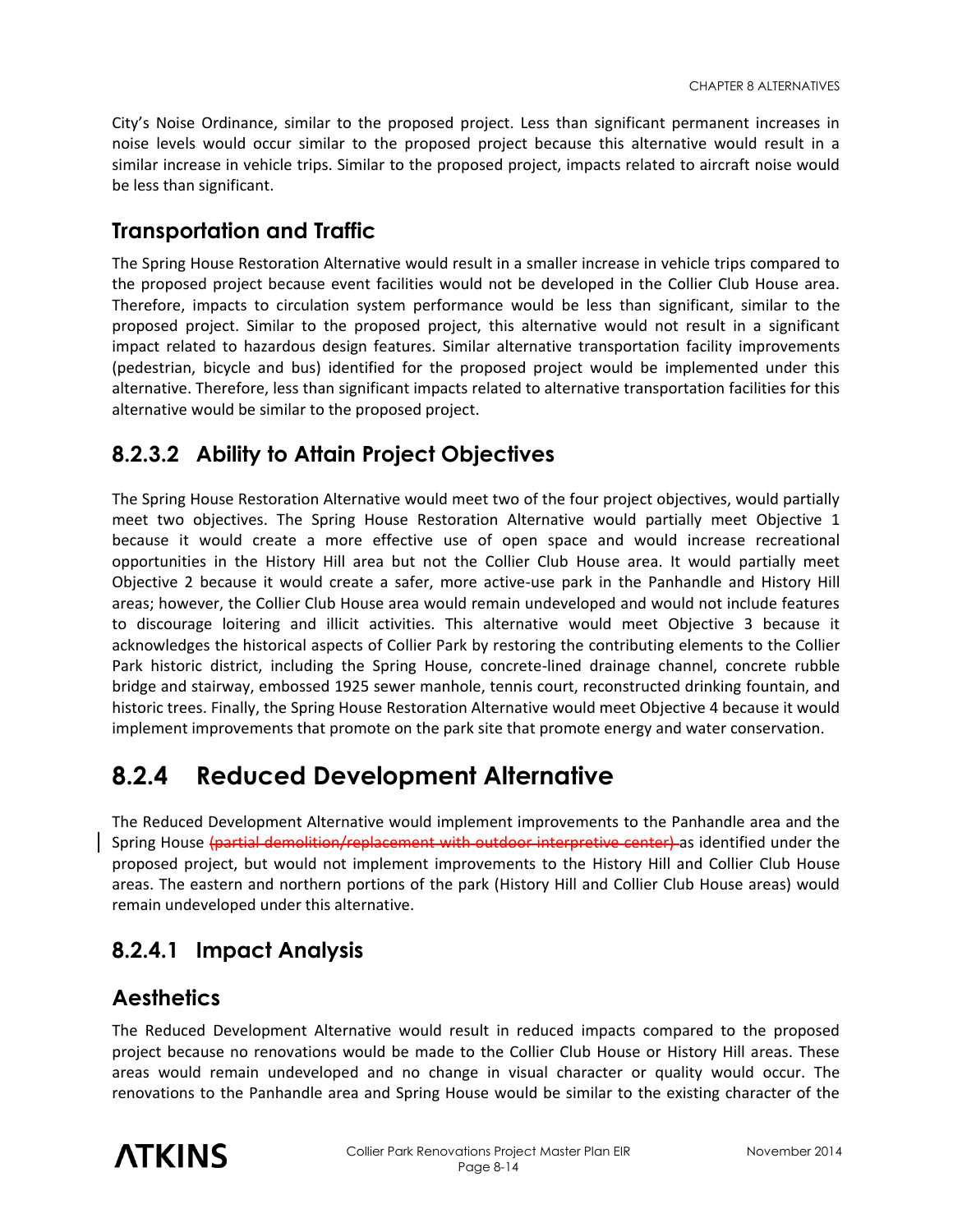City's Noise Ordinance, similar to the proposed project. Less than significant permanent increases in noise levels would occur similar to the proposed project because this alternative would result in a similar increase in vehicle trips. Similar to the proposed project, impacts related to aircraft noise would be less than significant.

#### **Transportation and Traffic**

The Spring House Restoration Alternative would result in a smaller increase in vehicle trips compared to the proposed project because event facilities would not be developed in the Collier Club House area. Therefore, impacts to circulation system performance would be less than significant, similar to the proposed project. Similar to the proposed project, this alternative would not result in a significant impact related to hazardous design features. Similar alternative transportation facility improvements (pedestrian, bicycle and bus) identified for the proposed project would be implemented under this alternative. Therefore, less than significant impacts related to alternative transportation facilities for this alternative would be similar to the proposed project.

### **8.2.3.2 Ability to Attain Project Objectives**

The Spring House Restoration Alternative would meet two of the four project objectives, would partially meet two objectives. The Spring House Restoration Alternative would partially meet Objective 1 because it would create a more effective use of open space and would increase recreational opportunities in the History Hill area but not the Collier Club House area. It would partially meet Objective 2 because it would create a safer, more active-use park in the Panhandle and History Hill areas; however, the Collier Club House area would remain undeveloped and would not include features to discourage loitering and illicit activities. This alternative would meet Objective 3 because it acknowledges the historical aspects of Collier Park by restoring the contributing elements to the Collier Park historic district, including the Spring House, concrete-lined drainage channel, concrete rubble bridge and stairway, embossed 1925 sewer manhole, tennis court, reconstructed drinking fountain, and historic trees. Finally, the Spring House Restoration Alternative would meet Objective 4 because it would implement improvements that promote on the park site that promote energy and water conservation.

## **8.2.4 Reduced Development Alternative**

The Reduced Development Alternative would implement improvements to the Panhandle area and the Spring House (partial demolition/replacement with outdoor interpretive center) as identified under the proposed project, but would not implement improvements to the History Hill and Collier Club House areas. The eastern and northern portions of the park (History Hill and Collier Club House areas) would remain undeveloped under this alternative.

#### **8.2.4.1 Impact Analysis**

#### **Aesthetics**

The Reduced Development Alternative would result in reduced impacts compared to the proposed project because no renovations would be made to the Collier Club House or History Hill areas. These areas would remain undeveloped and no change in visual character or quality would occur. The renovations to the Panhandle area and Spring House would be similar to the existing character of the

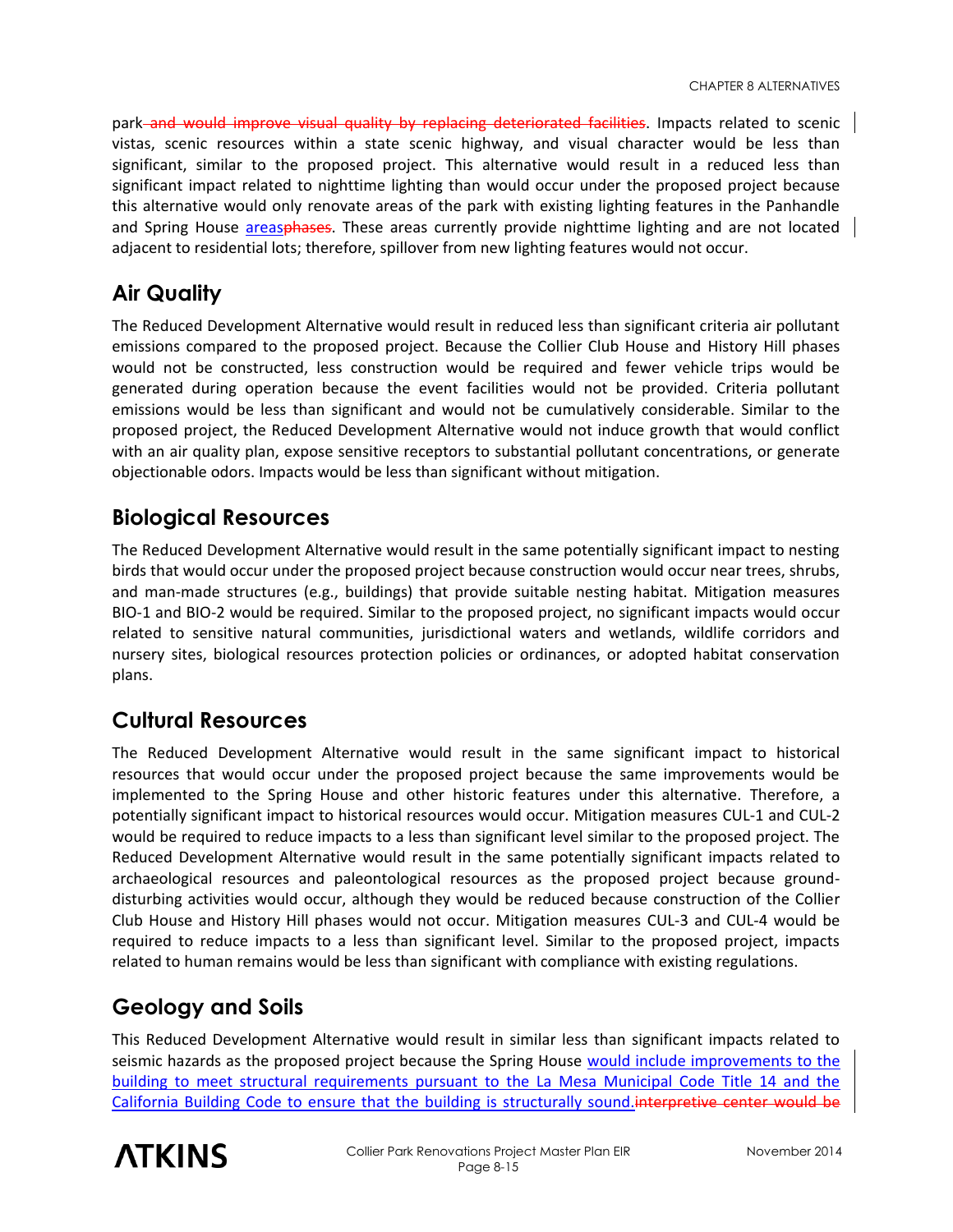park and would improve visual quality by replacing deteriorated facilities. Impacts related to scenic vistas, scenic resources within a state scenic highway, and visual character would be less than significant, similar to the proposed project. This alternative would result in a reduced less than significant impact related to nighttime lighting than would occur under the proposed project because this alternative would only renovate areas of the park with existing lighting features in the Panhandle and Spring House areasphases. These areas currently provide nighttime lighting and are not located adjacent to residential lots; therefore, spillover from new lighting features would not occur.

#### **Air Quality**

The Reduced Development Alternative would result in reduced less than significant criteria air pollutant emissions compared to the proposed project. Because the Collier Club House and History Hill phases would not be constructed, less construction would be required and fewer vehicle trips would be generated during operation because the event facilities would not be provided. Criteria pollutant emissions would be less than significant and would not be cumulatively considerable. Similar to the proposed project, the Reduced Development Alternative would not induce growth that would conflict with an air quality plan, expose sensitive receptors to substantial pollutant concentrations, or generate objectionable odors. Impacts would be less than significant without mitigation.

#### **Biological Resources**

The Reduced Development Alternative would result in the same potentially significant impact to nesting birds that would occur under the proposed project because construction would occur near trees, shrubs, and man-made structures (e.g., buildings) that provide suitable nesting habitat. Mitigation measures BIO-1 and BIO-2 would be required. Similar to the proposed project, no significant impacts would occur related to sensitive natural communities, jurisdictional waters and wetlands, wildlife corridors and nursery sites, biological resources protection policies or ordinances, or adopted habitat conservation plans.

#### **Cultural Resources**

The Reduced Development Alternative would result in the same significant impact to historical resources that would occur under the proposed project because the same improvements would be implemented to the Spring House and other historic features under this alternative. Therefore, a potentially significant impact to historical resources would occur. Mitigation measures CUL-1 and CUL-2 would be required to reduce impacts to a less than significant level similar to the proposed project. The Reduced Development Alternative would result in the same potentially significant impacts related to archaeological resources and paleontological resources as the proposed project because grounddisturbing activities would occur, although they would be reduced because construction of the Collier Club House and History Hill phases would not occur. Mitigation measures CUL-3 and CUL-4 would be required to reduce impacts to a less than significant level. Similar to the proposed project, impacts related to human remains would be less than significant with compliance with existing regulations.

#### **Geology and Soils**

This Reduced Development Alternative would result in similar less than significant impacts related to seismic hazards as the proposed project because the Spring House would include improvements to the building to meet structural requirements pursuant to the La Mesa Municipal Code Title 14 and the California Building Code to ensure that the building is structurally sound.interpretive center would be

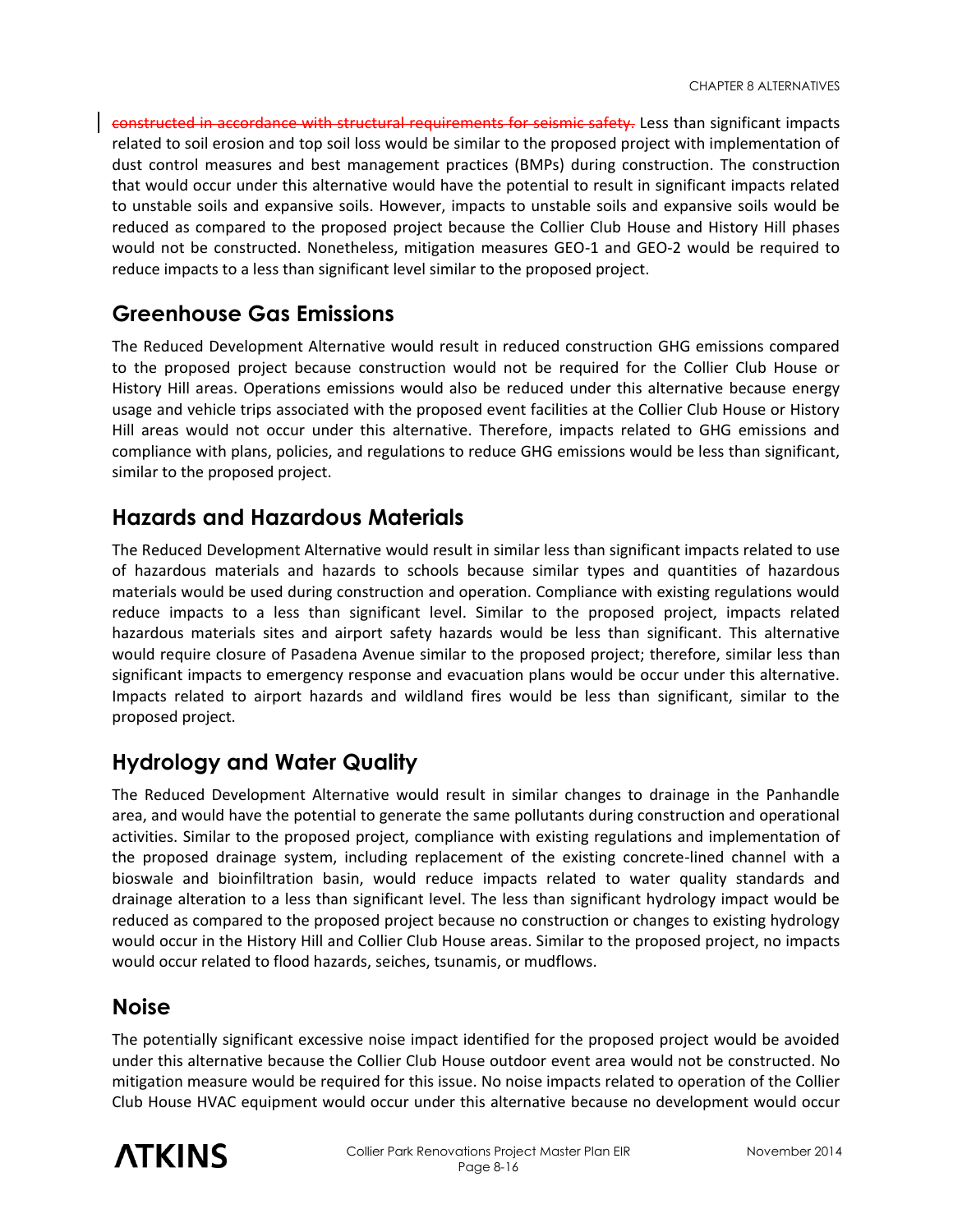constructed in accordance with structural requirements for seismic safety. Less than significant impacts related to soil erosion and top soil loss would be similar to the proposed project with implementation of dust control measures and best management practices (BMPs) during construction. The construction that would occur under this alternative would have the potential to result in significant impacts related to unstable soils and expansive soils. However, impacts to unstable soils and expansive soils would be reduced as compared to the proposed project because the Collier Club House and History Hill phases would not be constructed. Nonetheless, mitigation measures GEO-1 and GEO-2 would be required to reduce impacts to a less than significant level similar to the proposed project.

#### **Greenhouse Gas Emissions**

The Reduced Development Alternative would result in reduced construction GHG emissions compared to the proposed project because construction would not be required for the Collier Club House or History Hill areas. Operations emissions would also be reduced under this alternative because energy usage and vehicle trips associated with the proposed event facilities at the Collier Club House or History Hill areas would not occur under this alternative. Therefore, impacts related to GHG emissions and compliance with plans, policies, and regulations to reduce GHG emissions would be less than significant, similar to the proposed project.

#### **Hazards and Hazardous Materials**

The Reduced Development Alternative would result in similar less than significant impacts related to use of hazardous materials and hazards to schools because similar types and quantities of hazardous materials would be used during construction and operation. Compliance with existing regulations would reduce impacts to a less than significant level. Similar to the proposed project, impacts related hazardous materials sites and airport safety hazards would be less than significant. This alternative would require closure of Pasadena Avenue similar to the proposed project; therefore, similar less than significant impacts to emergency response and evacuation plans would be occur under this alternative. Impacts related to airport hazards and wildland fires would be less than significant, similar to the proposed project.

#### **Hydrology and Water Quality**

The Reduced Development Alternative would result in similar changes to drainage in the Panhandle area, and would have the potential to generate the same pollutants during construction and operational activities. Similar to the proposed project, compliance with existing regulations and implementation of the proposed drainage system, including replacement of the existing concrete-lined channel with a bioswale and bioinfiltration basin, would reduce impacts related to water quality standards and drainage alteration to a less than significant level. The less than significant hydrology impact would be reduced as compared to the proposed project because no construction or changes to existing hydrology would occur in the History Hill and Collier Club House areas. Similar to the proposed project, no impacts would occur related to flood hazards, seiches, tsunamis, or mudflows.

#### **Noise**

The potentially significant excessive noise impact identified for the proposed project would be avoided under this alternative because the Collier Club House outdoor event area would not be constructed. No mitigation measure would be required for this issue. No noise impacts related to operation of the Collier Club House HVAC equipment would occur under this alternative because no development would occur

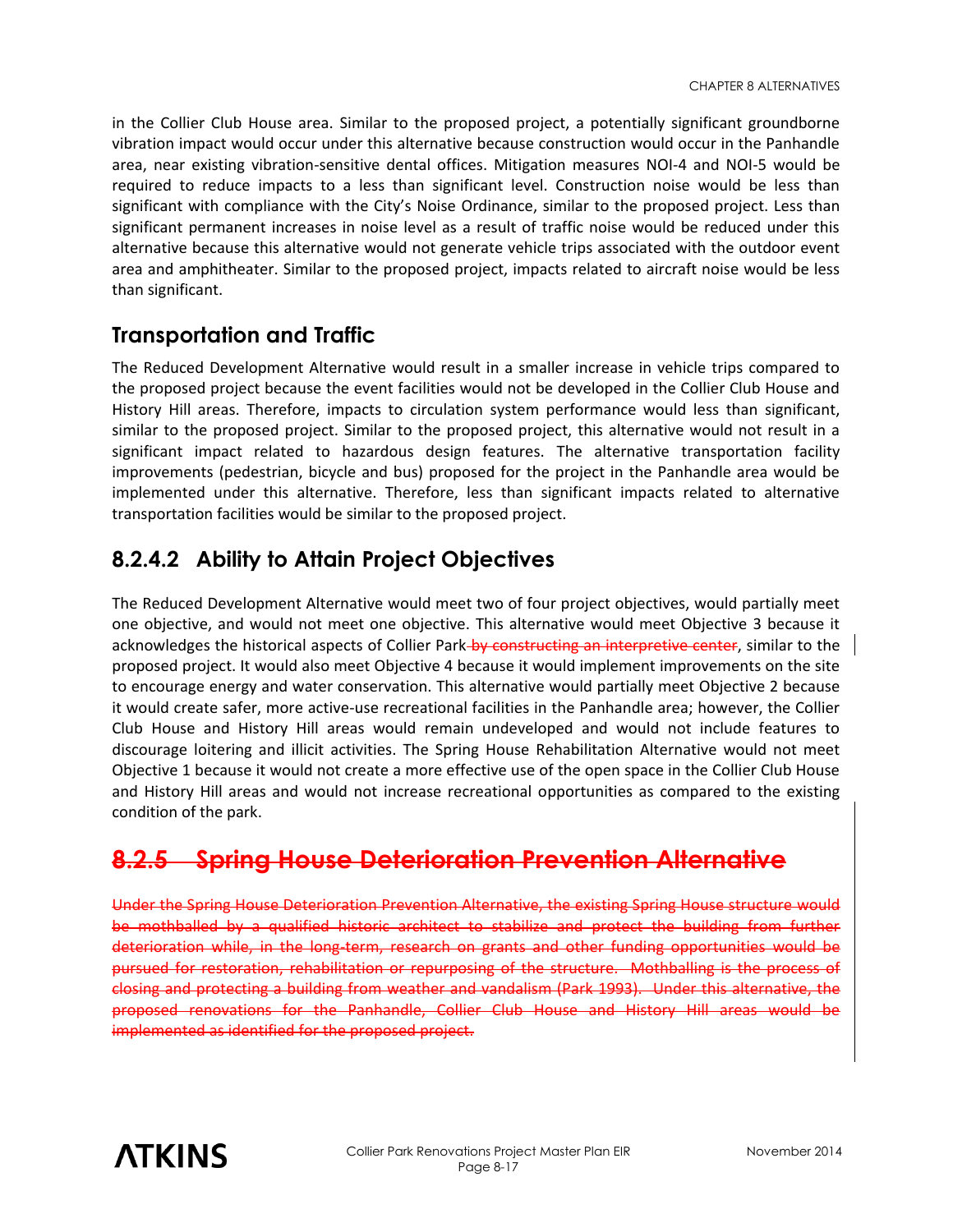in the Collier Club House area. Similar to the proposed project, a potentially significant groundborne vibration impact would occur under this alternative because construction would occur in the Panhandle area, near existing vibration-sensitive dental offices. Mitigation measures NOI-4 and NOI-5 would be required to reduce impacts to a less than significant level. Construction noise would be less than significant with compliance with the City's Noise Ordinance, similar to the proposed project. Less than significant permanent increases in noise level as a result of traffic noise would be reduced under this alternative because this alternative would not generate vehicle trips associated with the outdoor event area and amphitheater. Similar to the proposed project, impacts related to aircraft noise would be less than significant.

#### **Transportation and Traffic**

The Reduced Development Alternative would result in a smaller increase in vehicle trips compared to the proposed project because the event facilities would not be developed in the Collier Club House and History Hill areas. Therefore, impacts to circulation system performance would less than significant, similar to the proposed project. Similar to the proposed project, this alternative would not result in a significant impact related to hazardous design features. The alternative transportation facility improvements (pedestrian, bicycle and bus) proposed for the project in the Panhandle area would be implemented under this alternative. Therefore, less than significant impacts related to alternative transportation facilities would be similar to the proposed project.

### **8.2.4.2 Ability to Attain Project Objectives**

The Reduced Development Alternative would meet two of four project objectives, would partially meet one objective, and would not meet one objective. This alternative would meet Objective 3 because it acknowledges the historical aspects of Collier Park-by constructing an interpretive center, similar to the proposed project. It would also meet Objective 4 because it would implement improvements on the site to encourage energy and water conservation. This alternative would partially meet Objective 2 because it would create safer, more active-use recreational facilities in the Panhandle area; however, the Collier Club House and History Hill areas would remain undeveloped and would not include features to discourage loitering and illicit activities. The Spring House Rehabilitation Alternative would not meet Objective 1 because it would not create a more effective use of the open space in the Collier Club House and History Hill areas and would not increase recreational opportunities as compared to the existing condition of the park.

## **8.2.5 Spring House Deterioration Prevention Alternative**

Under the Spring House Deterioration Prevention Alternative, the existing Spring House structure would be mothballed by a qualified historic architect to stabilize and protect the building from further deterioration while, in the long-term, research on grants and other funding opportunities would be pursued for restoration, rehabilitation or repurposing of the structure. Mothballing is the process of closing and protecting a building from weather and vandalism (Park 1993). Under this alternative, the proposed renovations for the Panhandle, Collier Club House and History Hill areas would be implemented as identified for the proposed project.

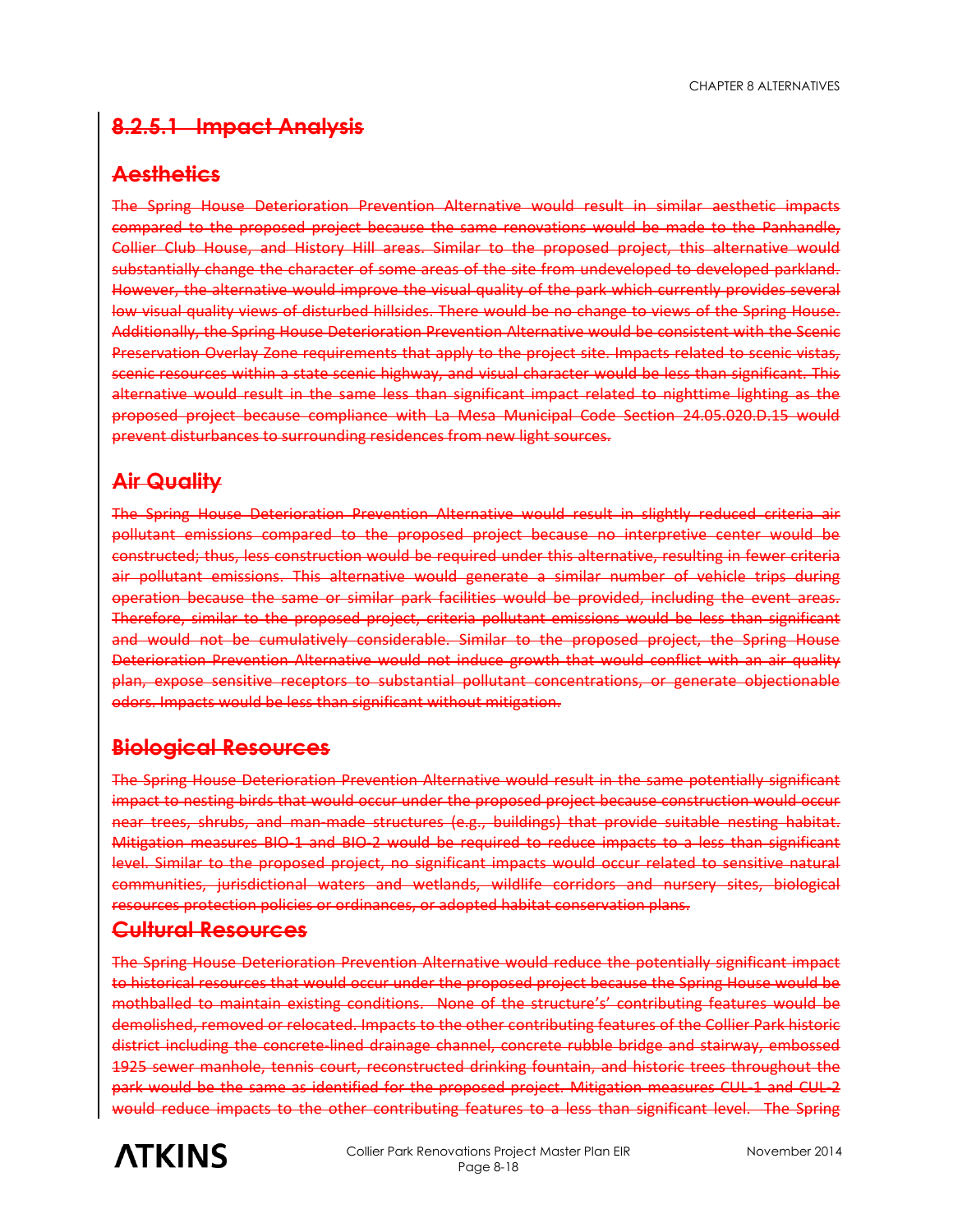CHAPTER 8 ALTERNATIVES

#### **8.2.5.1 Impact Analysis**

#### **Aesthetics**

The Spring House Deterioration Prevention Alternative would result in similar aesthetic impacts compared to the proposed project because the same renovations would be made to the Panhandle, Collier Club House, and History Hill areas. Similar to the proposed project, this alternative would substantially change the character of some areas of the site from undeveloped to developed parkland. However, the alternative would improve the visual quality of the park which currently provides several low visual quality views of disturbed hillsides. There would be no change to views of the Spring House. Additionally, the Spring House Deterioration Prevention Alternative would be consistent with the Scenic Preservation Overlay Zone requirements that apply to the project site. Impacts related to scenic vistas, scenic resources within a state scenic highway, and visual character would be less than significant. This alternative would result in the same less than significant impact related to nighttime lighting as the proposed project because compliance with La Mesa Municipal Code Section 24.05.020.D.15 would prevent disturbances to surrounding residences from new light sources.

#### **Air Quality**

The Spring House Deterioration Prevention Alternative would result in slightly reduced criteria air pollutant emissions compared to the proposed project because no interpretive center would be constructed; thus, less construction would be required under this alternative, resulting in fewer criteria air pollutant emissions. This alternative would generate a similar number of vehicle trips during operation because the same or similar park facilities would be provided, including the event areas. Therefore, similar to the proposed project, criteria pollutant emissions would be less than significant and would not be cumulatively considerable. Similar to the proposed project, the Spring House Deterioration Prevention Alternative would not induce growth that would conflict with an air quality plan, expose sensitive receptors to substantial pollutant concentrations, or generate objectionable odors. Impacts would be less than significant without mitigation.

#### **Biological Resources**

The Spring House Deterioration Prevention Alternative would result in the same potentially significant impact to nesting birds that would occur under the proposed project because construction would occur near trees, shrubs, and man-made structures (e.g., buildings) that provide suitable nesting habitat. Mitigation measures BIO-1 and BIO-2 would be required to reduce impacts to a less than significant level. Similar to the proposed project, no significant impacts would occur related to sensitive natural communities, jurisdictional waters and wetlands, wildlife corridors and nursery sites, biological resources protection policies or ordinances, or adopted habitat conservation plans.

#### **Cultural Resources**

The Spring House Deterioration Prevention Alternative would reduce the potentially significant impact to historical resources that would occur under the proposed project because the Spring House would be mothballed to maintain existing conditions. None of the structure's' contributing features would be demolished, removed or relocated. Impacts to the other contributing features of the Collier Park historic district including the concrete-lined drainage channel, concrete rubble bridge and stairway, embossed 1925 sewer manhole, tennis court, reconstructed drinking fountain, and historic trees throughout the park would be the same as identified for the proposed project. Mitigation measures CUL-1 and CUL-2 would reduce impacts to the other contributing features to a less than significant level. The Spring

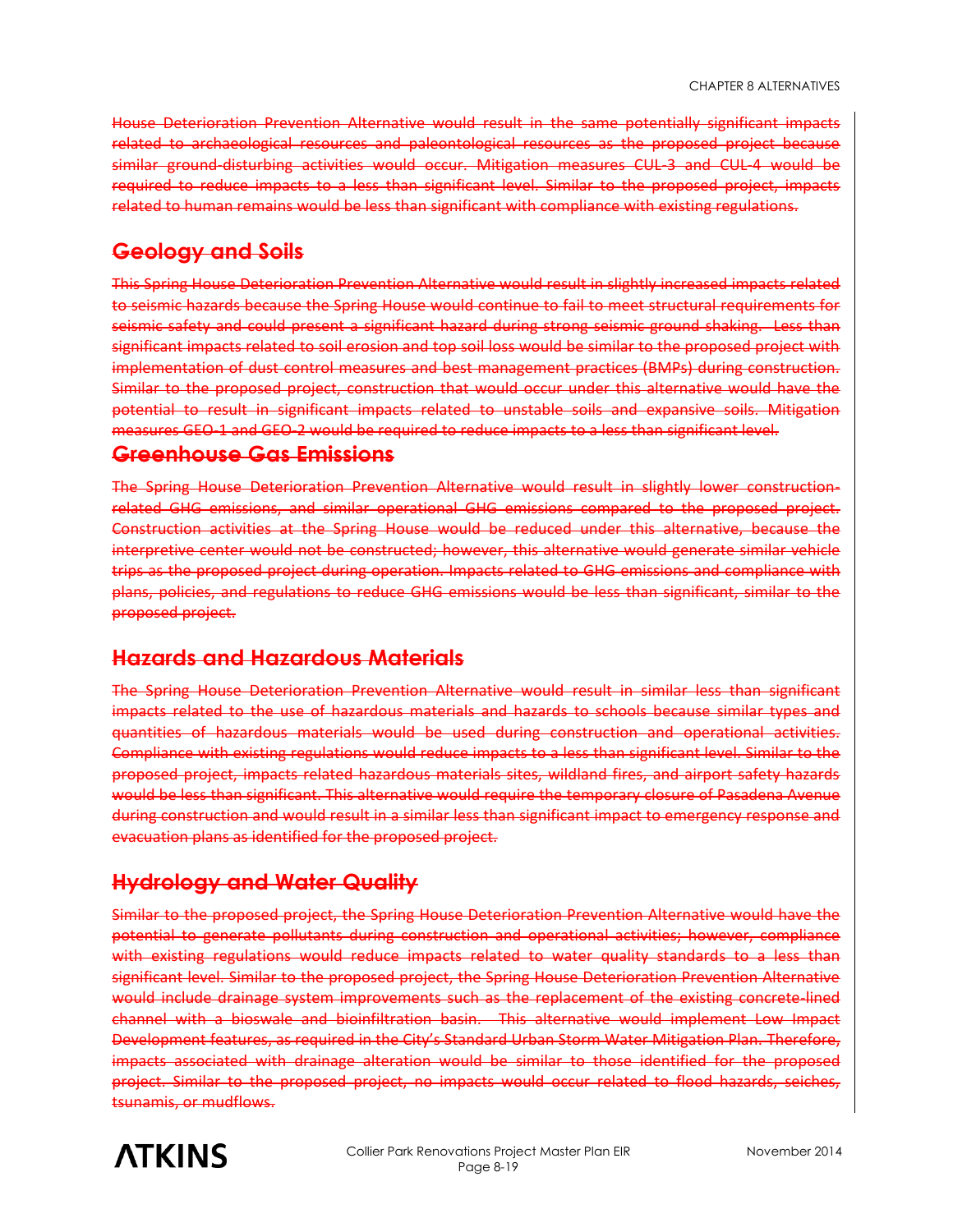House Deterioration Prevention Alternative would result in the same potentially significant impacts related to archaeological resources and paleontological resources as the proposed project because similar ground-disturbing activities would occur. Mitigation measures CUL-3 and CUL-4 would be required to reduce impacts to a less than significant level. Similar to the proposed project, impacts related to human remains would be less than significant with compliance with existing regulations.

#### **Geology and Soils**

This Spring House Deterioration Prevention Alternative would result in slightly increased impacts related to seismic hazards because the Spring House would continue to fail to meet structural requirements for seismic safety and could present a significant hazard during strong seismic ground shaking. Less than significant impacts related to soil erosion and top soil loss would be similar to the proposed project with implementation of dust control measures and best management practices (BMPs) during construction. Similar to the proposed project, construction that would occur under this alternative would have the potential to result in significant impacts related to unstable soils and expansive soils. Mitigation measures GEO-1 and GEO-2 would be required to reduce impacts to a less than significant level.

#### **Greenhouse Gas Emissions**

The Spring House Deterioration Prevention Alternative would result in slightly lower constructionrelated GHG emissions, and similar operational GHG emissions compared to the proposed project. Construction activities at the Spring House would be reduced under this alternative, because the interpretive center would not be constructed; however, this alternative would generate similar vehicle trips as the proposed project during operation. Impacts related to GHG emissions and compliance with plans, policies, and regulations to reduce GHG emissions would be less than significant, similar to the proposed project.

#### **Hazards and Hazardous Materials**

The Spring House Deterioration Prevention Alternative would result in similar less than significant impacts related to the use of hazardous materials and hazards to schools because similar types and quantities of hazardous materials would be used during construction and operational activities. Compliance with existing regulations would reduce impacts to a less than significant level. Similar to the proposed project, impacts related hazardous materials sites, wildland fires, and airport safety hazards would be less than significant. This alternative would require the temporary closure of Pasadena Avenue during construction and would result in a similar less than significant impact to emergency response and evacuation plans as identified for the proposed project.

#### **Hydrology and Water Quality**

Similar to the proposed project, the Spring House Deterioration Prevention Alternative would have the potential to generate pollutants during construction and operational activities; however, compliance with existing regulations would reduce impacts related to water quality standards to a less than significant level. Similar to the proposed project, the Spring House Deterioration Prevention Alternative would include drainage system improvements such as the replacement of the existing concrete-lined channel with a bioswale and bioinfiltration basin. This alternative would implement Low Impact Development features, as required in the City's Standard Urban Storm Water Mitigation Plan. Therefore, impacts associated with drainage alteration would be similar to those identified for the proposed project. Similar to the proposed project, no impacts would occur related to flood hazards, seiches, tsunamis, or mudflows.

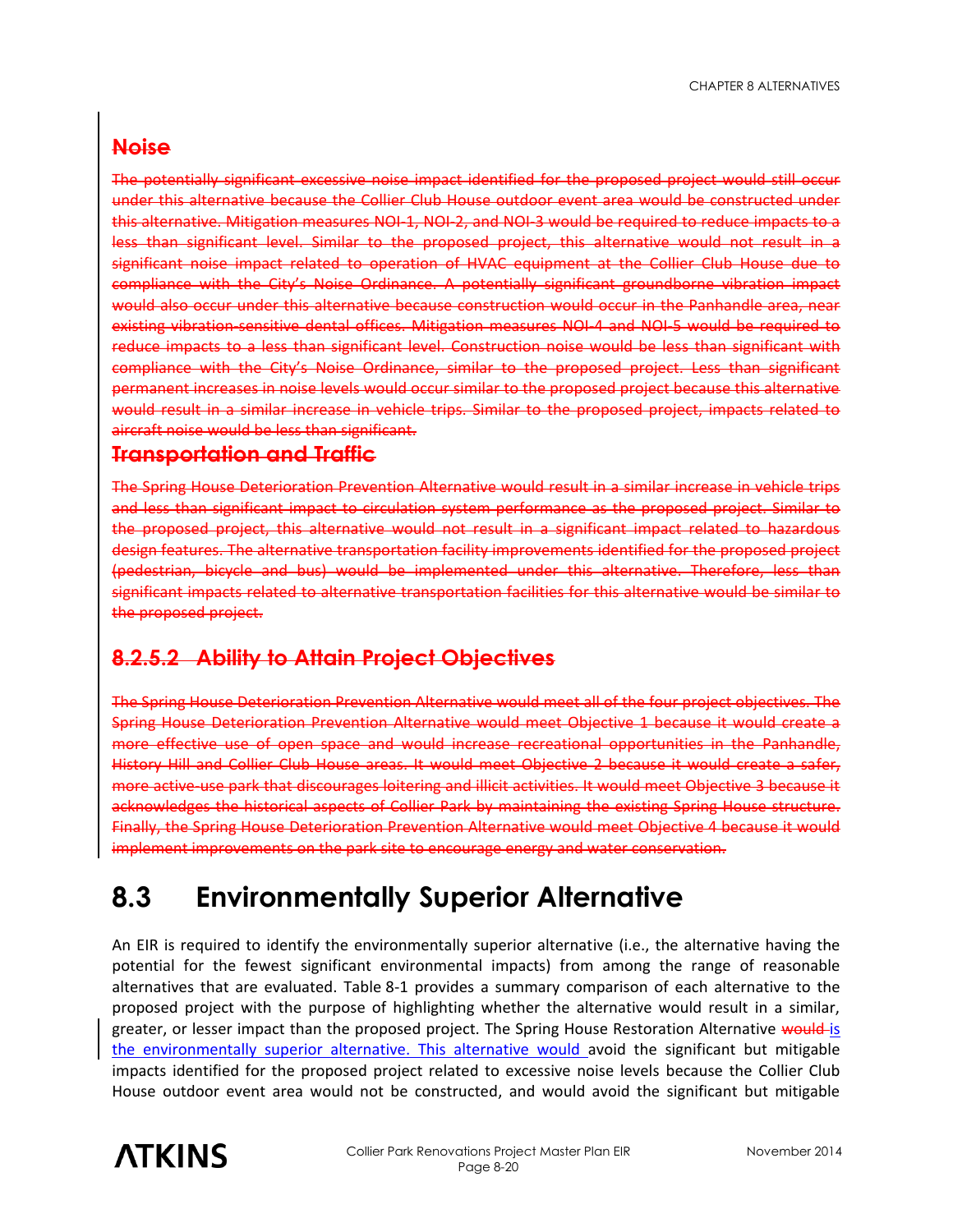#### **Noise**

The potentially significant excessive noise impact identified for the proposed project would still occur under this alternative because the Collier Club House outdoor event area would be constructed under this alternative. Mitigation measures NOI-1, NOI-2, and NOI-3 would be required to reduce impacts to a less than significant level. Similar to the proposed project, this alternative would not result in a significant noise impact related to operation of HVAC equipment at the Collier Club House due to compliance with the City's Noise Ordinance. A potentially significant groundborne vibration impact would also occur under this alternative because construction would occur in the Panhandle area, near existing vibration-sensitive dental offices. Mitigation measures NOI-4 and NOI-5 would be required to reduce impacts to a less than significant level. Construction noise would be less than significant with compliance with the City's Noise Ordinance, similar to the proposed project. Less than significant permanent increases in noise levels would occur similar to the proposed project because this alternative would result in a similar increase in vehicle trips. Similar to the proposed project, impacts related to aircraft noise would be less than significant.

#### **Transportation and Traffic**

The Spring House Deterioration Prevention Alternative would result in a similar increase in vehicle trips and less than significant impact to circulation system performance as the proposed project. Similar to the proposed project, this alternative would not result in a significant impact related to hazardous design features. The alternative transportation facility improvements identified for the proposed project (pedestrian, bicycle and bus) would be implemented under this alternative. Therefore, less than significant impacts related to alternative transportation facilities for this alternative would be similar to the proposed project.

#### **8.2.5.2 Ability to Attain Project Objectives**

The Spring House Deterioration Prevention Alternative would meet all of the four project objectives. The Spring House Deterioration Prevention Alternative would meet Objective 1 because it would create a more effective use of open space and would increase recreational opportunities in the Panhandle, History Hill and Collier Club House areas. It would meet Objective 2 because it would create a safer, more active-use park that discourages loitering and illicit activities. It would meet Objective 3 because it acknowledges the historical aspects of Collier Park by maintaining the existing Spring House structure. Finally, the Spring House Deterioration Prevention Alternative would meet Objective 4 because it would implement improvements on the park site to encourage energy and water conservation.

## **8.3 Environmentally Superior Alternative**

An EIR is required to identify the environmentally superior alternative (i.e., the alternative having the potential for the fewest significant environmental impacts) from among the range of reasonable alternatives that are evaluated. Table 8-1 provides a summary comparison of each alternative to the proposed project with the purpose of highlighting whether the alternative would result in a similar, greater, or lesser impact than the proposed project. The Spring House Restoration Alternative would is the environmentally superior alternative. This alternative would avoid the significant but mitigable impacts identified for the proposed project related to excessive noise levels because the Collier Club House outdoor event area would not be constructed, and would avoid the significant but mitigable

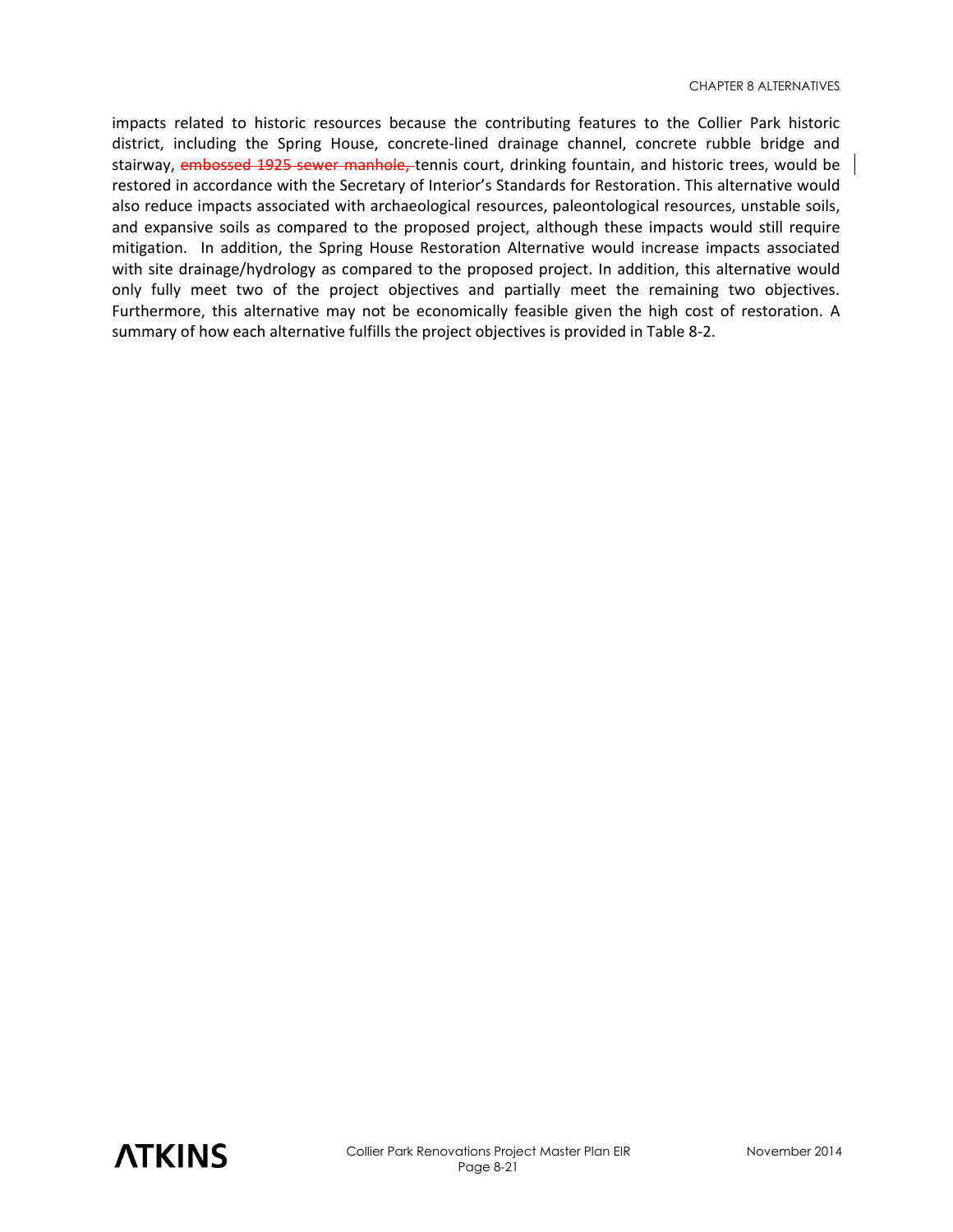impacts related to historic resources because the contributing features to the Collier Park historic district, including the Spring House, concrete-lined drainage channel, concrete rubble bridge and stairway, embossed 1925 sewer manhole, tennis court, drinking fountain, and historic trees, would be restored in accordance with the Secretary of Interior's Standards for Restoration. This alternative would also reduce impacts associated with archaeological resources, paleontological resources, unstable soils, and expansive soils as compared to the proposed project, although these impacts would still require mitigation. In addition, the Spring House Restoration Alternative would increase impacts associated with site drainage/hydrology as compared to the proposed project. In addition, this alternative would only fully meet two of the project objectives and partially meet the remaining two objectives. Furthermore, this alternative may not be economically feasible given the high cost of restoration. A summary of how each alternative fulfills the project objectives is provided in Table 8-2.

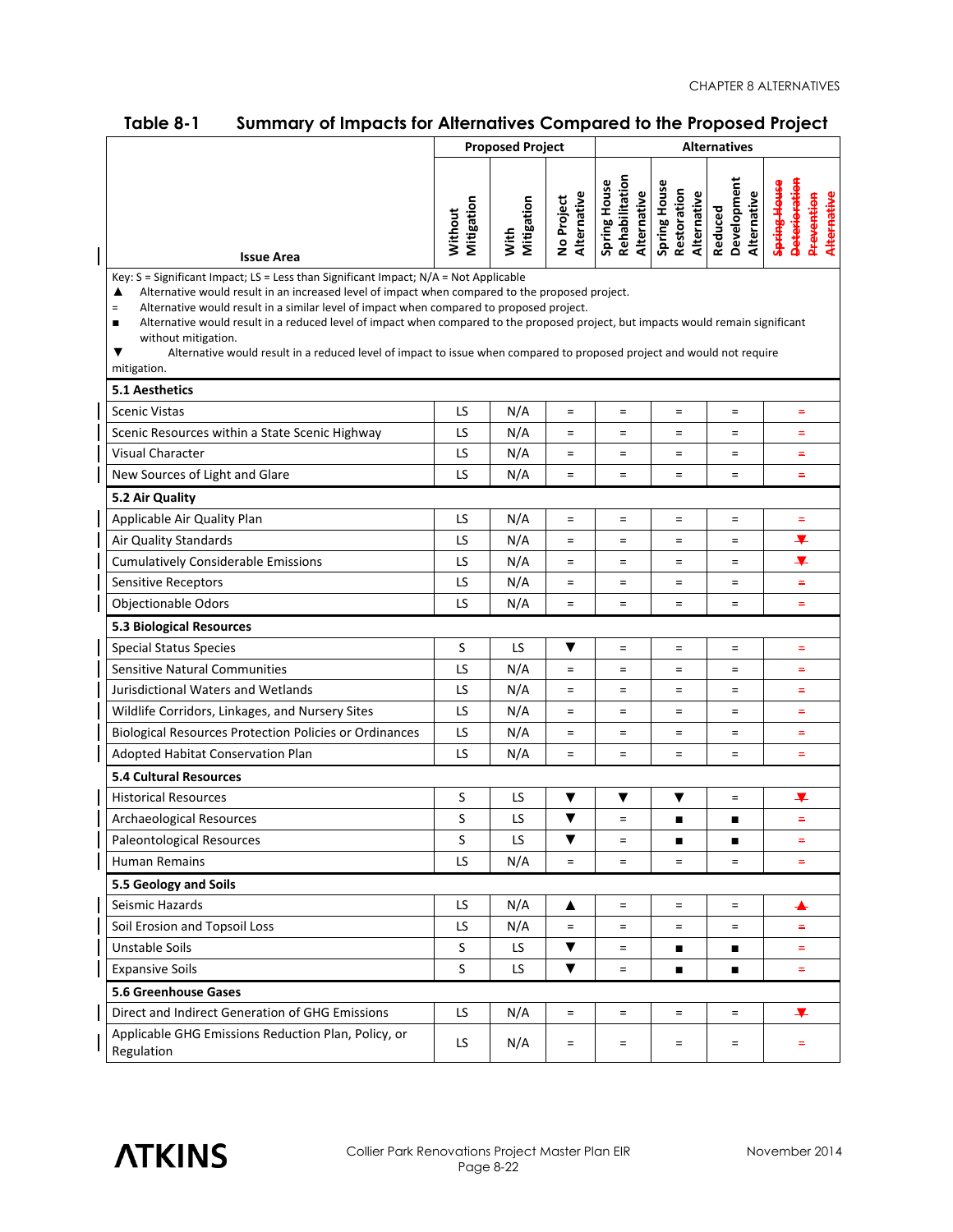| <b>IQDIE 0-1</b>                                                                                                                                                                                                                                                                                                                                                                                                                                                                                                                                                                                                     | summary or impacts for Allemanyes Compared to the Froposed Froject<br><b>Proposed Project</b><br><b>Alternatives</b> |                    |                           |                                               |                                            |                                       |                                                                   |
|----------------------------------------------------------------------------------------------------------------------------------------------------------------------------------------------------------------------------------------------------------------------------------------------------------------------------------------------------------------------------------------------------------------------------------------------------------------------------------------------------------------------------------------------------------------------------------------------------------------------|----------------------------------------------------------------------------------------------------------------------|--------------------|---------------------------|-----------------------------------------------|--------------------------------------------|---------------------------------------|-------------------------------------------------------------------|
|                                                                                                                                                                                                                                                                                                                                                                                                                                                                                                                                                                                                                      |                                                                                                                      |                    |                           |                                               |                                            |                                       |                                                                   |
| <b>Issue Area</b>                                                                                                                                                                                                                                                                                                                                                                                                                                                                                                                                                                                                    | Mitigation<br>Without                                                                                                | Mitigation<br>With | Alternative<br>No Project | Rehabilitation<br>Spring House<br>Alternative | Spring House<br>Restoration<br>Alternative | Development<br>Alternative<br>Reduced | <b>Deterioration</b><br>Spring House<br>Alternative<br>Prevention |
| Key: $S =$ Significant Impact; $LS =$ Less than Significant Impact; $N/A =$ Not Applicable<br>Alternative would result in an increased level of impact when compared to the proposed project.<br>▲<br>Alternative would result in a similar level of impact when compared to proposed project.<br>$=$<br>Alternative would result in a reduced level of impact when compared to the proposed project, but impacts would remain significant<br>п<br>without mitigation.<br>Alternative would result in a reduced level of impact to issue when compared to proposed project and would not require<br>▼<br>mitigation. |                                                                                                                      |                    |                           |                                               |                                            |                                       |                                                                   |
| <b>5.1 Aesthetics</b>                                                                                                                                                                                                                                                                                                                                                                                                                                                                                                                                                                                                |                                                                                                                      |                    |                           |                                               |                                            |                                       |                                                                   |
| <b>Scenic Vistas</b>                                                                                                                                                                                                                                                                                                                                                                                                                                                                                                                                                                                                 | LS                                                                                                                   | N/A                | $=$                       | $=$                                           | $=$                                        | $\equiv$                              | $=$                                                               |
| Scenic Resources within a State Scenic Highway                                                                                                                                                                                                                                                                                                                                                                                                                                                                                                                                                                       | LS                                                                                                                   | N/A                | $=$                       | $\equiv$                                      | $=$                                        | $\equiv$                              | $=$                                                               |
| Visual Character                                                                                                                                                                                                                                                                                                                                                                                                                                                                                                                                                                                                     | LS                                                                                                                   | N/A                | $=$                       | $\quad =$                                     | $=$                                        | $\equiv$                              | $=$                                                               |
| New Sources of Light and Glare                                                                                                                                                                                                                                                                                                                                                                                                                                                                                                                                                                                       | LS                                                                                                                   | N/A                | $\equiv$                  | $\equiv$                                      | $\equiv$                                   | $\equiv$                              | $=$                                                               |
| 5.2 Air Quality                                                                                                                                                                                                                                                                                                                                                                                                                                                                                                                                                                                                      |                                                                                                                      |                    |                           |                                               |                                            |                                       |                                                                   |
| Applicable Air Quality Plan                                                                                                                                                                                                                                                                                                                                                                                                                                                                                                                                                                                          | LS                                                                                                                   | N/A                | $\equiv$                  | $\equiv$                                      | $\equiv$                                   | $\equiv$                              | $\equiv$                                                          |
| Air Quality Standards                                                                                                                                                                                                                                                                                                                                                                                                                                                                                                                                                                                                | LS                                                                                                                   | N/A                | $\equiv$                  | $\quad =$                                     | $\equiv$                                   | $\equiv$                              | ¥                                                                 |
| <b>Cumulatively Considerable Emissions</b>                                                                                                                                                                                                                                                                                                                                                                                                                                                                                                                                                                           | LS                                                                                                                   | N/A                | $=$                       | $\quad =$                                     | $=$                                        | $=$                                   | ¥                                                                 |
| <b>Sensitive Receptors</b>                                                                                                                                                                                                                                                                                                                                                                                                                                                                                                                                                                                           | LS                                                                                                                   | N/A                | $\quad \  \  =$           | $\quad =$                                     | $\equiv$                                   | $\equiv$                              | $\equiv$                                                          |
| <b>Objectionable Odors</b>                                                                                                                                                                                                                                                                                                                                                                                                                                                                                                                                                                                           | LS                                                                                                                   | N/A                | $\quad =$                 | $=$                                           | $\equiv$                                   | $\equiv$                              | $\equiv$                                                          |
| 5.3 Biological Resources                                                                                                                                                                                                                                                                                                                                                                                                                                                                                                                                                                                             |                                                                                                                      |                    |                           |                                               |                                            |                                       |                                                                   |
| <b>Special Status Species</b>                                                                                                                                                                                                                                                                                                                                                                                                                                                                                                                                                                                        | $\sf S$                                                                                                              | LS                 | ▼                         | $\equiv$                                      | $\equiv$                                   | $\equiv$                              | $=$                                                               |
| <b>Sensitive Natural Communities</b>                                                                                                                                                                                                                                                                                                                                                                                                                                                                                                                                                                                 | LS                                                                                                                   | N/A                | $\equiv$                  | $=$                                           | $\equiv$                                   | $\equiv$                              | $\equiv$                                                          |
| Jurisdictional Waters and Wetlands                                                                                                                                                                                                                                                                                                                                                                                                                                                                                                                                                                                   | LS                                                                                                                   | N/A                | $\equiv$                  | $\quad =$                                     | $\equiv$                                   | $\equiv$                              | $\equiv$                                                          |
| Wildlife Corridors, Linkages, and Nursery Sites                                                                                                                                                                                                                                                                                                                                                                                                                                                                                                                                                                      | LS                                                                                                                   | N/A                | $\quad \  \  =$           | $\quad =$                                     | $\quad \  \  =$                            | $=$                                   | $\equiv$                                                          |
| <b>Biological Resources Protection Policies or Ordinances</b>                                                                                                                                                                                                                                                                                                                                                                                                                                                                                                                                                        | LS                                                                                                                   | N/A                | $\equiv$                  | $=$                                           | $\equiv$                                   | $\equiv$                              | $\equiv$                                                          |
| Adopted Habitat Conservation Plan                                                                                                                                                                                                                                                                                                                                                                                                                                                                                                                                                                                    | LS                                                                                                                   | N/A                | $\equiv$                  | $=$                                           | $\equiv$                                   | $\equiv$                              | $=$                                                               |
| <b>5.4 Cultural Resources</b>                                                                                                                                                                                                                                                                                                                                                                                                                                                                                                                                                                                        |                                                                                                                      |                    |                           |                                               |                                            |                                       |                                                                   |
| <b>Historical Resources</b>                                                                                                                                                                                                                                                                                                                                                                                                                                                                                                                                                                                          | S                                                                                                                    | LS                 | ▼                         | ▼                                             | ▼                                          | $\equiv$                              | ∓                                                                 |
| Archaeological Resources                                                                                                                                                                                                                                                                                                                                                                                                                                                                                                                                                                                             | S                                                                                                                    | LS                 | ▼                         | $\quad =$                                     |                                            |                                       | $\equiv$                                                          |
| Paleontological Resources                                                                                                                                                                                                                                                                                                                                                                                                                                                                                                                                                                                            | S                                                                                                                    | LS.                | $\blacktriangledown$      | $=$                                           | $\blacksquare$                             | $\blacksquare$                        | $=$                                                               |
| <b>Human Remains</b>                                                                                                                                                                                                                                                                                                                                                                                                                                                                                                                                                                                                 | LS                                                                                                                   | N/A                | $=$                       | $\equiv$                                      | $\equiv$                                   | $=$                                   | ٠                                                                 |
| 5.5 Geology and Soils                                                                                                                                                                                                                                                                                                                                                                                                                                                                                                                                                                                                |                                                                                                                      |                    |                           |                                               |                                            |                                       |                                                                   |
| Seismic Hazards                                                                                                                                                                                                                                                                                                                                                                                                                                                                                                                                                                                                      | LS.                                                                                                                  | N/A                | ▲                         | $=$                                           | $\equiv$                                   | $\equiv$                              | ┻                                                                 |
| Soil Erosion and Topsoil Loss                                                                                                                                                                                                                                                                                                                                                                                                                                                                                                                                                                                        | LS.                                                                                                                  | N/A                | $=$                       | $=$                                           | $=$                                        | $=$                                   | ۰                                                                 |
| Unstable Soils                                                                                                                                                                                                                                                                                                                                                                                                                                                                                                                                                                                                       | S                                                                                                                    | LS.                | ▼                         | $=$                                           | п                                          |                                       | ٠                                                                 |
| <b>Expansive Soils</b>                                                                                                                                                                                                                                                                                                                                                                                                                                                                                                                                                                                               | S                                                                                                                    | LS.                | ▼                         | $=$                                           | п                                          | п                                     | ۰,                                                                |
| <b>5.6 Greenhouse Gases</b>                                                                                                                                                                                                                                                                                                                                                                                                                                                                                                                                                                                          |                                                                                                                      |                    |                           |                                               |                                            |                                       |                                                                   |
| Direct and Indirect Generation of GHG Emissions                                                                                                                                                                                                                                                                                                                                                                                                                                                                                                                                                                      | LS                                                                                                                   | N/A                | $\equiv$                  | $=$                                           | $\equiv$                                   | $\equiv$                              | ¥                                                                 |
| Applicable GHG Emissions Reduction Plan, Policy, or<br>Regulation                                                                                                                                                                                                                                                                                                                                                                                                                                                                                                                                                    | LS.                                                                                                                  | N/A                | $=$                       | $=$                                           | $\equiv$                                   | $=$                                   | -                                                                 |

#### **Table 8-1 Summary of Impacts for Alternatives Compared to the Proposed Project**



 $\overline{\phantom{a}}$ 

a l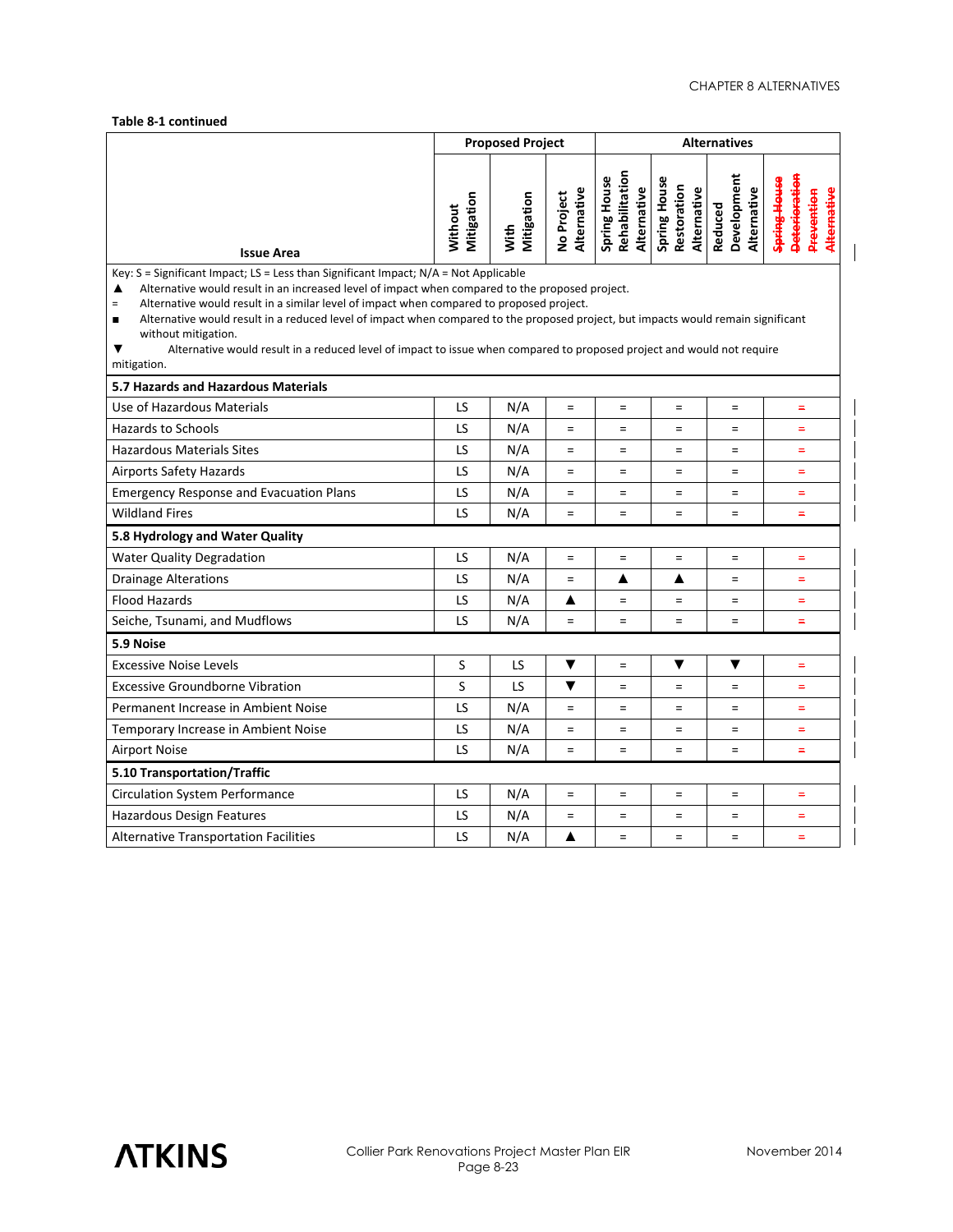#### **Table 8-1 continued**

|                                                                                                                                                                                                                                                                                                                                                                                                                                                                                                                                                                                                                                               | <b>Proposed Project</b> |                    | <b>Alternatives</b>       |                                               |                                            |                                       |                                                                       |
|-----------------------------------------------------------------------------------------------------------------------------------------------------------------------------------------------------------------------------------------------------------------------------------------------------------------------------------------------------------------------------------------------------------------------------------------------------------------------------------------------------------------------------------------------------------------------------------------------------------------------------------------------|-------------------------|--------------------|---------------------------|-----------------------------------------------|--------------------------------------------|---------------------------------------|-----------------------------------------------------------------------|
| <b>Issue Area</b>                                                                                                                                                                                                                                                                                                                                                                                                                                                                                                                                                                                                                             | Mitigation<br>Without   | Mitigation<br>With | Alternative<br>No Project | Rehabilitation<br>Spring House<br>Alternative | Spring House<br>Restoration<br>Alternative | Development<br>Alternative<br>Reduced | s <del>pring House</del><br>Deterioratio<br>Alternative<br>Prevention |
| Key: $S =$ Significant Impact; LS = Less than Significant Impact; $N/A = Not$ Applicable<br>Alternative would result in an increased level of impact when compared to the proposed project.<br>▲<br>Alternative would result in a similar level of impact when compared to proposed project.<br>$\qquad \qquad =$<br>Alternative would result in a reduced level of impact when compared to the proposed project, but impacts would remain significant<br>$\blacksquare$<br>without mitigation.<br>▼<br>Alternative would result in a reduced level of impact to issue when compared to proposed project and would not require<br>mitigation. |                         |                    |                           |                                               |                                            |                                       |                                                                       |
| 5.7 Hazards and Hazardous Materials                                                                                                                                                                                                                                                                                                                                                                                                                                                                                                                                                                                                           |                         |                    |                           |                                               |                                            |                                       |                                                                       |
| Use of Hazardous Materials                                                                                                                                                                                                                                                                                                                                                                                                                                                                                                                                                                                                                    | LS                      | N/A                | $\equiv$                  | $\equiv$                                      | $=$                                        | $=$                                   | ۳                                                                     |
| <b>Hazards to Schools</b>                                                                                                                                                                                                                                                                                                                                                                                                                                                                                                                                                                                                                     | LS                      | N/A                | $\equiv$                  | $=$                                           | $=$                                        | $=$                                   | $=$                                                                   |
| <b>Hazardous Materials Sites</b>                                                                                                                                                                                                                                                                                                                                                                                                                                                                                                                                                                                                              | LS                      | N/A                | $\equiv$                  | $\equiv$                                      | $=$                                        | $=$                                   | $\equiv$                                                              |
| <b>Airports Safety Hazards</b>                                                                                                                                                                                                                                                                                                                                                                                                                                                                                                                                                                                                                | LS                      | N/A                | $\qquad \qquad =$         | $\equiv$                                      | $=$                                        | $=$                                   | $\equiv$                                                              |
| <b>Emergency Response and Evacuation Plans</b>                                                                                                                                                                                                                                                                                                                                                                                                                                                                                                                                                                                                | LS                      | N/A                | $\equiv$                  | $\equiv$                                      | $=$                                        | $\quad =$                             | $=$                                                                   |
| <b>Wildland Fires</b>                                                                                                                                                                                                                                                                                                                                                                                                                                                                                                                                                                                                                         | LS                      | N/A                | $\equiv$                  | $\equiv$                                      | $=$                                        | $=$                                   | $=$                                                                   |
| 5.8 Hydrology and Water Quality                                                                                                                                                                                                                                                                                                                                                                                                                                                                                                                                                                                                               |                         |                    |                           |                                               |                                            |                                       |                                                                       |
| <b>Water Quality Degradation</b>                                                                                                                                                                                                                                                                                                                                                                                                                                                                                                                                                                                                              | LS<br>LS                | N/A                | $\equiv$                  | $\equiv$                                      | $=$                                        | $=$                                   | $\equiv$                                                              |
| <b>Drainage Alterations</b>                                                                                                                                                                                                                                                                                                                                                                                                                                                                                                                                                                                                                   |                         | N/A                | $\equiv$                  | ▲                                             | ▲                                          | $=$                                   | $=$                                                                   |
| <b>Flood Hazards</b>                                                                                                                                                                                                                                                                                                                                                                                                                                                                                                                                                                                                                          | LS                      | N/A                | ▲                         | $\equiv$                                      | $=$                                        | $=$                                   | $=$                                                                   |
| Seiche, Tsunami, and Mudflows                                                                                                                                                                                                                                                                                                                                                                                                                                                                                                                                                                                                                 | LS                      | N/A                | $=$                       | $\equiv$                                      | $=$                                        | $=$                                   | Ξ                                                                     |
| 5.9 Noise                                                                                                                                                                                                                                                                                                                                                                                                                                                                                                                                                                                                                                     |                         |                    |                           |                                               |                                            |                                       |                                                                       |
| <b>Excessive Noise Levels</b>                                                                                                                                                                                                                                                                                                                                                                                                                                                                                                                                                                                                                 | S                       | LS                 | ▼                         | $\equiv$                                      | ▼                                          | ▼                                     | $\equiv$                                                              |
| <b>Excessive Groundborne Vibration</b>                                                                                                                                                                                                                                                                                                                                                                                                                                                                                                                                                                                                        | S                       | LS                 | ▼                         | $\equiv$                                      | $=$                                        | $=$                                   | $\equiv$                                                              |
| Permanent Increase in Ambient Noise                                                                                                                                                                                                                                                                                                                                                                                                                                                                                                                                                                                                           | LS                      | N/A                | $\equiv$                  | $\equiv$                                      | $=$                                        | $=$                                   | $\equiv$                                                              |
| Temporary Increase in Ambient Noise                                                                                                                                                                                                                                                                                                                                                                                                                                                                                                                                                                                                           | LS                      | N/A                | $\equiv$                  | $\equiv$                                      | $=$                                        | $=$                                   | $=$                                                                   |
| <b>Airport Noise</b>                                                                                                                                                                                                                                                                                                                                                                                                                                                                                                                                                                                                                          | LS                      | N/A                | $\equiv$                  | $\equiv$                                      | $=$                                        | $=$                                   | $=$                                                                   |
| 5.10 Transportation/Traffic                                                                                                                                                                                                                                                                                                                                                                                                                                                                                                                                                                                                                   |                         |                    |                           |                                               |                                            |                                       |                                                                       |
| <b>Circulation System Performance</b>                                                                                                                                                                                                                                                                                                                                                                                                                                                                                                                                                                                                         | LS                      | N/A                | $\equiv$                  | $=$                                           | $=$                                        | $=$                                   | $=$                                                                   |
| Hazardous Design Features                                                                                                                                                                                                                                                                                                                                                                                                                                                                                                                                                                                                                     | LS                      | N/A                | $\equiv$                  | $\equiv$                                      | $=$                                        | $=$                                   | $\equiv$                                                              |
| <b>Alternative Transportation Facilities</b>                                                                                                                                                                                                                                                                                                                                                                                                                                                                                                                                                                                                  | LS                      | N/A                | ▲                         | $\equiv$                                      | $=$                                        | $=$                                   | $=$                                                                   |